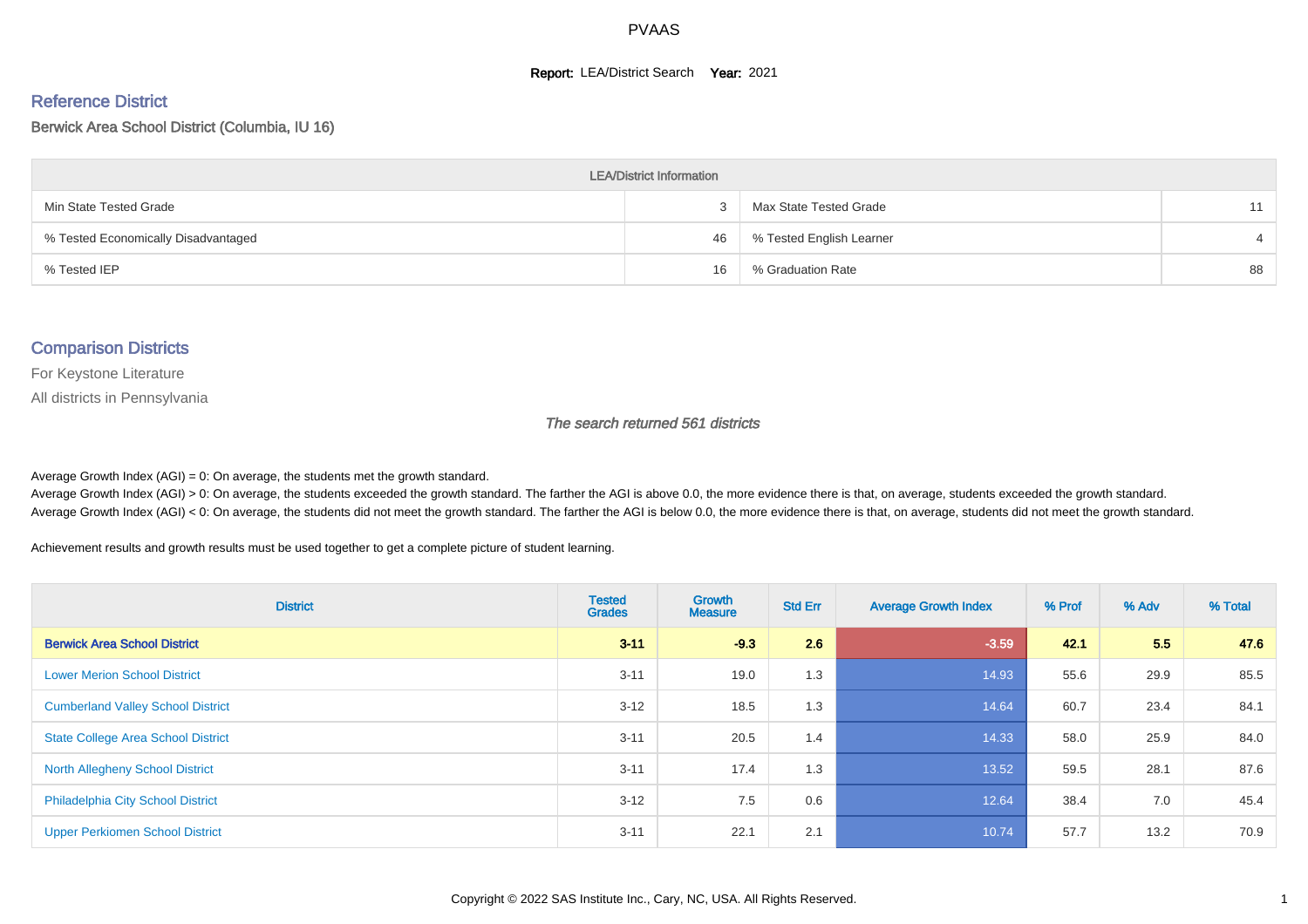#### **Report: LEA/District Search Year: 2021**

#### Reference District

#### Berwick Area School District (Columbia, IU 16)

| <b>LEA/District Information</b>     |    |                          |    |  |  |  |  |  |  |  |
|-------------------------------------|----|--------------------------|----|--|--|--|--|--|--|--|
| Min State Tested Grade              |    | Max State Tested Grade   | 11 |  |  |  |  |  |  |  |
| % Tested Economically Disadvantaged | 46 | % Tested English Learner |    |  |  |  |  |  |  |  |
| % Tested IEP                        | 16 | % Graduation Rate        | 88 |  |  |  |  |  |  |  |

#### Comparison Districts

For Keystone Literature

All districts in Pennsylvania

The search returned 561 districts

Average Growth Index  $(AGI) = 0$ : On average, the students met the growth standard.

Average Growth Index (AGI) > 0: On average, the students exceeded the growth standard. The farther the AGI is above 0.0, the more evidence there is that, on average, students exceeded the growth standard. Average Growth Index (AGI) < 0: On average, the students did not meet the growth standard. The farther the AGI is below 0.0, the more evidence there is that, on average, students did not meet the growth standard.

Achievement results and growth results must be used together to get a complete picture of student learning.

| <b>District</b>                           | <b>Tested</b><br><b>Grades</b> | Growth<br><b>Measure</b> | <b>Std Err</b> | <b>Average Growth Index</b> | % Prof | % Adv | % Total |
|-------------------------------------------|--------------------------------|--------------------------|----------------|-----------------------------|--------|-------|---------|
| <b>Berwick Area School District</b>       | $3 - 11$                       | $-9.3$                   | 2.6            | $-3.59$                     | 42.1   | 5.5   | 47.6    |
| <b>Lower Merion School District</b>       | $3 - 11$                       | 19.0                     | 1.3            | 14.93                       | 55.6   | 29.9  | 85.5    |
| <b>Cumberland Valley School District</b>  | $3 - 12$                       | 18.5                     | 1.3            | 14.64                       | 60.7   | 23.4  | 84.1    |
| <b>State College Area School District</b> | $3 - 11$                       | 20.5                     | 1.4            | 14.33                       | 58.0   | 25.9  | 84.0    |
| <b>North Allegheny School District</b>    | $3 - 11$                       | 17.4                     | 1.3            | 13.52                       | 59.5   | 28.1  | 87.6    |
| <b>Philadelphia City School District</b>  | $3 - 12$                       | 7.5                      | 0.6            | 12.64                       | 38.4   | 7.0   | 45.4    |
| <b>Upper Perkiomen School District</b>    | $3 - 11$                       | 22.1                     | 2.1            | 10.74                       | 57.7   | 13.2  | 70.9    |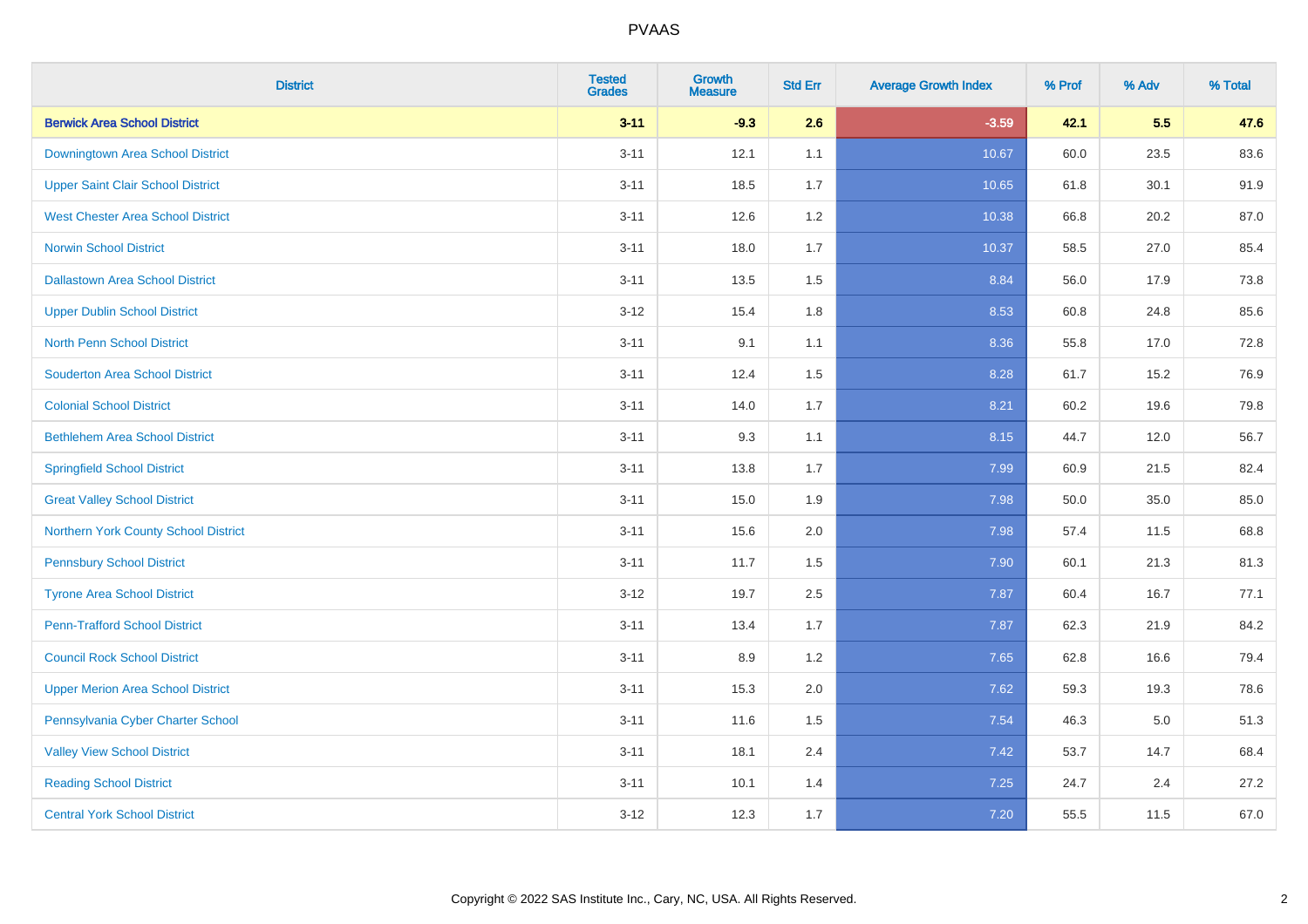| <b>District</b>                          | <b>Tested</b><br><b>Grades</b> | Growth<br><b>Measure</b> | <b>Std Err</b> | <b>Average Growth Index</b> | % Prof | % Adv | % Total |
|------------------------------------------|--------------------------------|--------------------------|----------------|-----------------------------|--------|-------|---------|
| <b>Berwick Area School District</b>      | $3 - 11$                       | $-9.3$                   | 2.6            | $-3.59$                     | 42.1   | 5.5   | 47.6    |
| Downingtown Area School District         | $3 - 11$                       | 12.1                     | 1.1            | 10.67                       | 60.0   | 23.5  | 83.6    |
| <b>Upper Saint Clair School District</b> | $3 - 11$                       | 18.5                     | 1.7            | 10.65                       | 61.8   | 30.1  | 91.9    |
| <b>West Chester Area School District</b> | $3 - 11$                       | 12.6                     | $1.2\,$        | 10.38                       | 66.8   | 20.2  | 87.0    |
| <b>Norwin School District</b>            | $3 - 11$                       | 18.0                     | 1.7            | 10.37                       | 58.5   | 27.0  | 85.4    |
| <b>Dallastown Area School District</b>   | $3 - 11$                       | 13.5                     | 1.5            | 8.84                        | 56.0   | 17.9  | 73.8    |
| <b>Upper Dublin School District</b>      | $3 - 12$                       | 15.4                     | 1.8            | 8.53                        | 60.8   | 24.8  | 85.6    |
| <b>North Penn School District</b>        | $3 - 11$                       | 9.1                      | 1.1            | 8.36                        | 55.8   | 17.0  | 72.8    |
| <b>Souderton Area School District</b>    | $3 - 11$                       | 12.4                     | 1.5            | 8.28                        | 61.7   | 15.2  | 76.9    |
| <b>Colonial School District</b>          | $3 - 11$                       | 14.0                     | 1.7            | 8.21                        | 60.2   | 19.6  | 79.8    |
| <b>Bethlehem Area School District</b>    | $3 - 11$                       | 9.3                      | 1.1            | 8.15                        | 44.7   | 12.0  | 56.7    |
| <b>Springfield School District</b>       | $3 - 11$                       | 13.8                     | 1.7            | 7.99                        | 60.9   | 21.5  | 82.4    |
| <b>Great Valley School District</b>      | $3 - 11$                       | 15.0                     | 1.9            | 7.98                        | 50.0   | 35.0  | 85.0    |
| Northern York County School District     | $3 - 11$                       | 15.6                     | 2.0            | 7.98                        | 57.4   | 11.5  | 68.8    |
| <b>Pennsbury School District</b>         | $3 - 11$                       | 11.7                     | 1.5            | 7.90                        | 60.1   | 21.3  | 81.3    |
| <b>Tyrone Area School District</b>       | $3 - 12$                       | 19.7                     | 2.5            | 7.87                        | 60.4   | 16.7  | 77.1    |
| <b>Penn-Trafford School District</b>     | $3 - 11$                       | 13.4                     | 1.7            | 7.87                        | 62.3   | 21.9  | 84.2    |
| <b>Council Rock School District</b>      | $3 - 11$                       | 8.9                      | 1.2            | 7.65                        | 62.8   | 16.6  | 79.4    |
| <b>Upper Merion Area School District</b> | $3 - 11$                       | 15.3                     | 2.0            | 7.62                        | 59.3   | 19.3  | 78.6    |
| Pennsylvania Cyber Charter School        | $3 - 11$                       | 11.6                     | 1.5            | 7.54                        | 46.3   | 5.0   | 51.3    |
| <b>Valley View School District</b>       | $3 - 11$                       | 18.1                     | 2.4            | 7.42                        | 53.7   | 14.7  | 68.4    |
| <b>Reading School District</b>           | $3 - 11$                       | 10.1                     | 1.4            | 7.25                        | 24.7   | 2.4   | 27.2    |
| <b>Central York School District</b>      | $3 - 12$                       | 12.3                     | 1.7            | 7.20                        | 55.5   | 11.5  | 67.0    |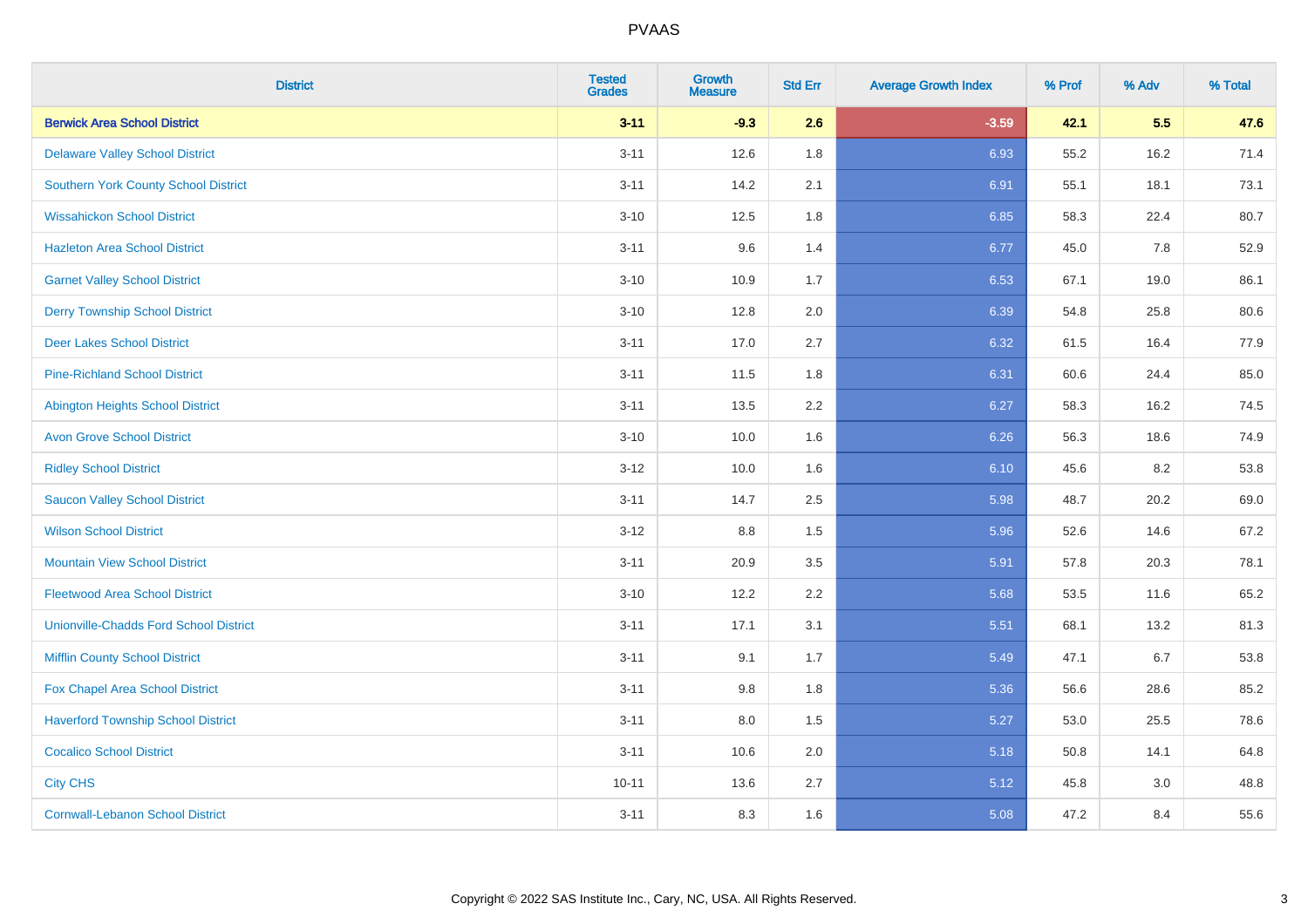| <b>District</b>                               | <b>Tested</b><br><b>Grades</b> | <b>Growth</b><br><b>Measure</b> | <b>Std Err</b> | <b>Average Growth Index</b> | % Prof | % Adv | % Total |
|-----------------------------------------------|--------------------------------|---------------------------------|----------------|-----------------------------|--------|-------|---------|
| <b>Berwick Area School District</b>           | $3 - 11$                       | $-9.3$                          | 2.6            | $-3.59$                     | 42.1   | 5.5   | 47.6    |
| <b>Delaware Valley School District</b>        | $3 - 11$                       | 12.6                            | 1.8            | 6.93                        | 55.2   | 16.2  | 71.4    |
| <b>Southern York County School District</b>   | $3 - 11$                       | 14.2                            | 2.1            | 6.91                        | 55.1   | 18.1  | 73.1    |
| <b>Wissahickon School District</b>            | $3 - 10$                       | 12.5                            | 1.8            | 6.85                        | 58.3   | 22.4  | 80.7    |
| <b>Hazleton Area School District</b>          | $3 - 11$                       | 9.6                             | 1.4            | 6.77                        | 45.0   | 7.8   | 52.9    |
| <b>Garnet Valley School District</b>          | $3 - 10$                       | 10.9                            | 1.7            | 6.53                        | 67.1   | 19.0  | 86.1    |
| <b>Derry Township School District</b>         | $3 - 10$                       | 12.8                            | 2.0            | 6.39                        | 54.8   | 25.8  | 80.6    |
| <b>Deer Lakes School District</b>             | $3 - 11$                       | 17.0                            | 2.7            | 6.32                        | 61.5   | 16.4  | 77.9    |
| <b>Pine-Richland School District</b>          | $3 - 11$                       | 11.5                            | 1.8            | 6.31                        | 60.6   | 24.4  | 85.0    |
| <b>Abington Heights School District</b>       | $3 - 11$                       | 13.5                            | 2.2            | 6.27                        | 58.3   | 16.2  | 74.5    |
| <b>Avon Grove School District</b>             | $3 - 10$                       | 10.0                            | 1.6            | 6.26                        | 56.3   | 18.6  | 74.9    |
| <b>Ridley School District</b>                 | $3 - 12$                       | 10.0                            | 1.6            | 6.10                        | 45.6   | 8.2   | 53.8    |
| <b>Saucon Valley School District</b>          | $3 - 11$                       | 14.7                            | 2.5            | 5.98                        | 48.7   | 20.2  | 69.0    |
| <b>Wilson School District</b>                 | $3 - 12$                       | $8.8\,$                         | 1.5            | 5.96                        | 52.6   | 14.6  | 67.2    |
| <b>Mountain View School District</b>          | $3 - 11$                       | 20.9                            | 3.5            | 5.91                        | 57.8   | 20.3  | 78.1    |
| <b>Fleetwood Area School District</b>         | $3 - 10$                       | 12.2                            | 2.2            | 5.68                        | 53.5   | 11.6  | 65.2    |
| <b>Unionville-Chadds Ford School District</b> | $3 - 11$                       | 17.1                            | 3.1            | 5.51                        | 68.1   | 13.2  | 81.3    |
| <b>Mifflin County School District</b>         | $3 - 11$                       | 9.1                             | 1.7            | 5.49                        | 47.1   | 6.7   | 53.8    |
| Fox Chapel Area School District               | $3 - 11$                       | 9.8                             | 1.8            | 5.36                        | 56.6   | 28.6  | 85.2    |
| <b>Haverford Township School District</b>     | $3 - 11$                       | 8.0                             | 1.5            | 5.27                        | 53.0   | 25.5  | 78.6    |
| <b>Cocalico School District</b>               | $3 - 11$                       | 10.6                            | 2.0            | 5.18                        | 50.8   | 14.1  | 64.8    |
| <b>City CHS</b>                               | $10 - 11$                      | 13.6                            | 2.7            | 5.12                        | 45.8   | 3.0   | 48.8    |
| <b>Cornwall-Lebanon School District</b>       | $3 - 11$                       | 8.3                             | 1.6            | 5.08                        | 47.2   | 8.4   | 55.6    |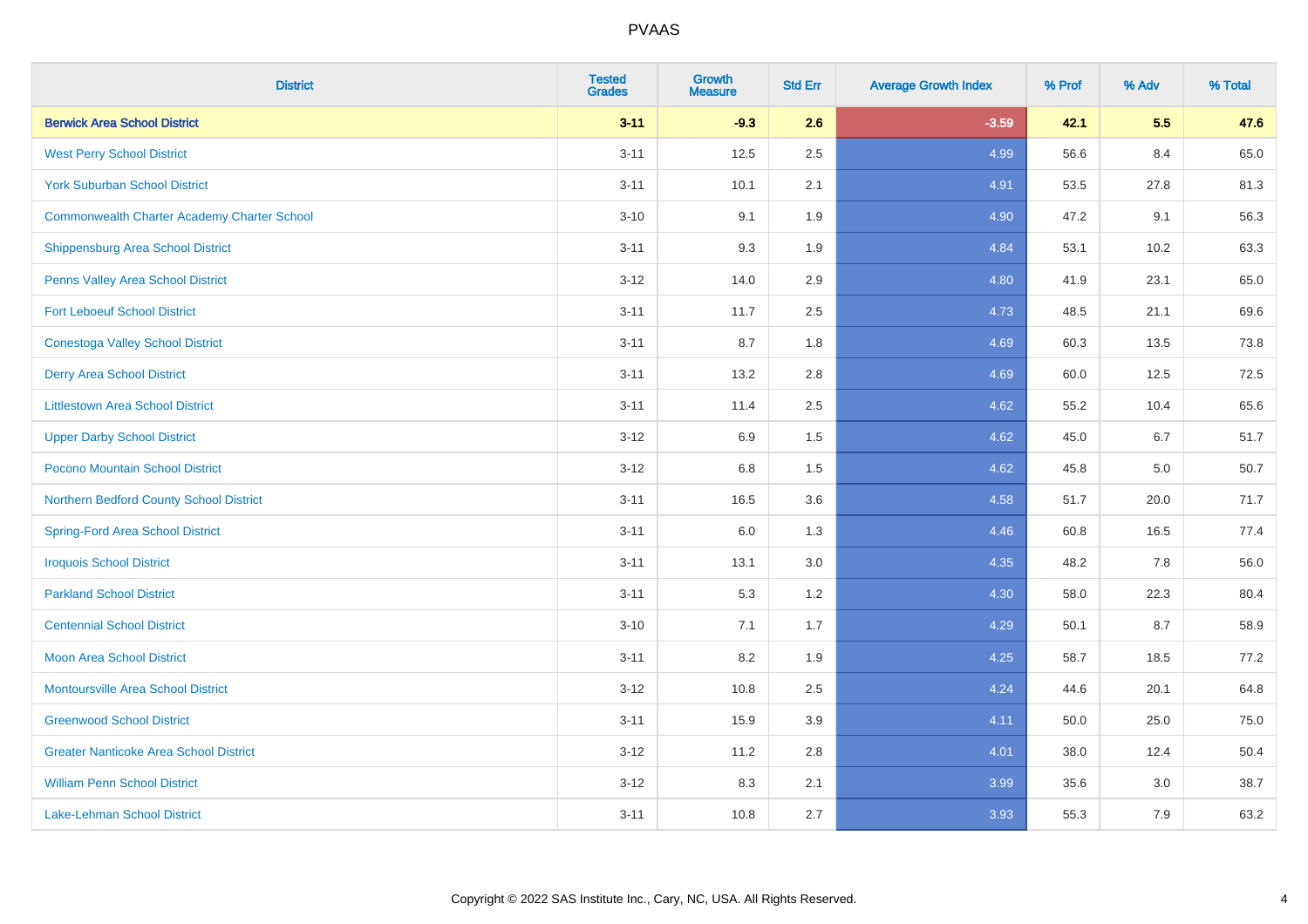| <b>District</b>                                    | <b>Tested</b><br><b>Grades</b> | <b>Growth</b><br><b>Measure</b> | <b>Std Err</b> | <b>Average Growth Index</b> | % Prof | % Adv | % Total |
|----------------------------------------------------|--------------------------------|---------------------------------|----------------|-----------------------------|--------|-------|---------|
| <b>Berwick Area School District</b>                | $3 - 11$                       | $-9.3$                          | 2.6            | $-3.59$                     | 42.1   | 5.5   | 47.6    |
| <b>West Perry School District</b>                  | $3 - 11$                       | 12.5                            | 2.5            | 4.99                        | 56.6   | 8.4   | 65.0    |
| <b>York Suburban School District</b>               | $3 - 11$                       | 10.1                            | 2.1            | 4.91                        | 53.5   | 27.8  | 81.3    |
| <b>Commonwealth Charter Academy Charter School</b> | $3 - 10$                       | 9.1                             | 1.9            | 4.90                        | 47.2   | 9.1   | 56.3    |
| Shippensburg Area School District                  | $3 - 11$                       | 9.3                             | 1.9            | 4.84                        | 53.1   | 10.2  | 63.3    |
| Penns Valley Area School District                  | $3 - 12$                       | 14.0                            | 2.9            | 4.80                        | 41.9   | 23.1  | 65.0    |
| <b>Fort Leboeuf School District</b>                | $3 - 11$                       | 11.7                            | 2.5            | 4.73                        | 48.5   | 21.1  | 69.6    |
| <b>Conestoga Valley School District</b>            | $3 - 11$                       | 8.7                             | 1.8            | 4.69                        | 60.3   | 13.5  | 73.8    |
| <b>Derry Area School District</b>                  | $3 - 11$                       | 13.2                            | 2.8            | 4.69                        | 60.0   | 12.5  | 72.5    |
| <b>Littlestown Area School District</b>            | $3 - 11$                       | 11.4                            | 2.5            | 4.62                        | 55.2   | 10.4  | 65.6    |
| <b>Upper Darby School District</b>                 | $3 - 12$                       | 6.9                             | 1.5            | 4.62                        | 45.0   | 6.7   | 51.7    |
| Pocono Mountain School District                    | $3 - 12$                       | $6.8\,$                         | 1.5            | 4.62                        | 45.8   | 5.0   | 50.7    |
| Northern Bedford County School District            | $3 - 11$                       | 16.5                            | 3.6            | 4.58                        | 51.7   | 20.0  | 71.7    |
| <b>Spring-Ford Area School District</b>            | $3 - 11$                       | 6.0                             | 1.3            | 4.46                        | 60.8   | 16.5  | 77.4    |
| <b>Iroquois School District</b>                    | $3 - 11$                       | 13.1                            | 3.0            | 4.35                        | 48.2   | 7.8   | 56.0    |
| <b>Parkland School District</b>                    | $3 - 11$                       | 5.3                             | 1.2            | 4.30                        | 58.0   | 22.3  | 80.4    |
| <b>Centennial School District</b>                  | $3 - 10$                       | 7.1                             | 1.7            | 4.29                        | 50.1   | 8.7   | 58.9    |
| <b>Moon Area School District</b>                   | $3 - 11$                       | 8.2                             | 1.9            | 4.25                        | 58.7   | 18.5  | 77.2    |
| <b>Montoursville Area School District</b>          | $3 - 12$                       | 10.8                            | 2.5            | 4.24                        | 44.6   | 20.1  | 64.8    |
| <b>Greenwood School District</b>                   | $3 - 11$                       | 15.9                            | 3.9            | 4.11                        | 50.0   | 25.0  | 75.0    |
| <b>Greater Nanticoke Area School District</b>      | $3-12$                         | 11.2                            | 2.8            | 4.01                        | 38.0   | 12.4  | 50.4    |
| <b>William Penn School District</b>                | $3 - 12$                       | 8.3                             | 2.1            | 3.99                        | 35.6   | 3.0   | 38.7    |
| Lake-Lehman School District                        | $3 - 11$                       | 10.8                            | 2.7            | 3.93                        | 55.3   | 7.9   | 63.2    |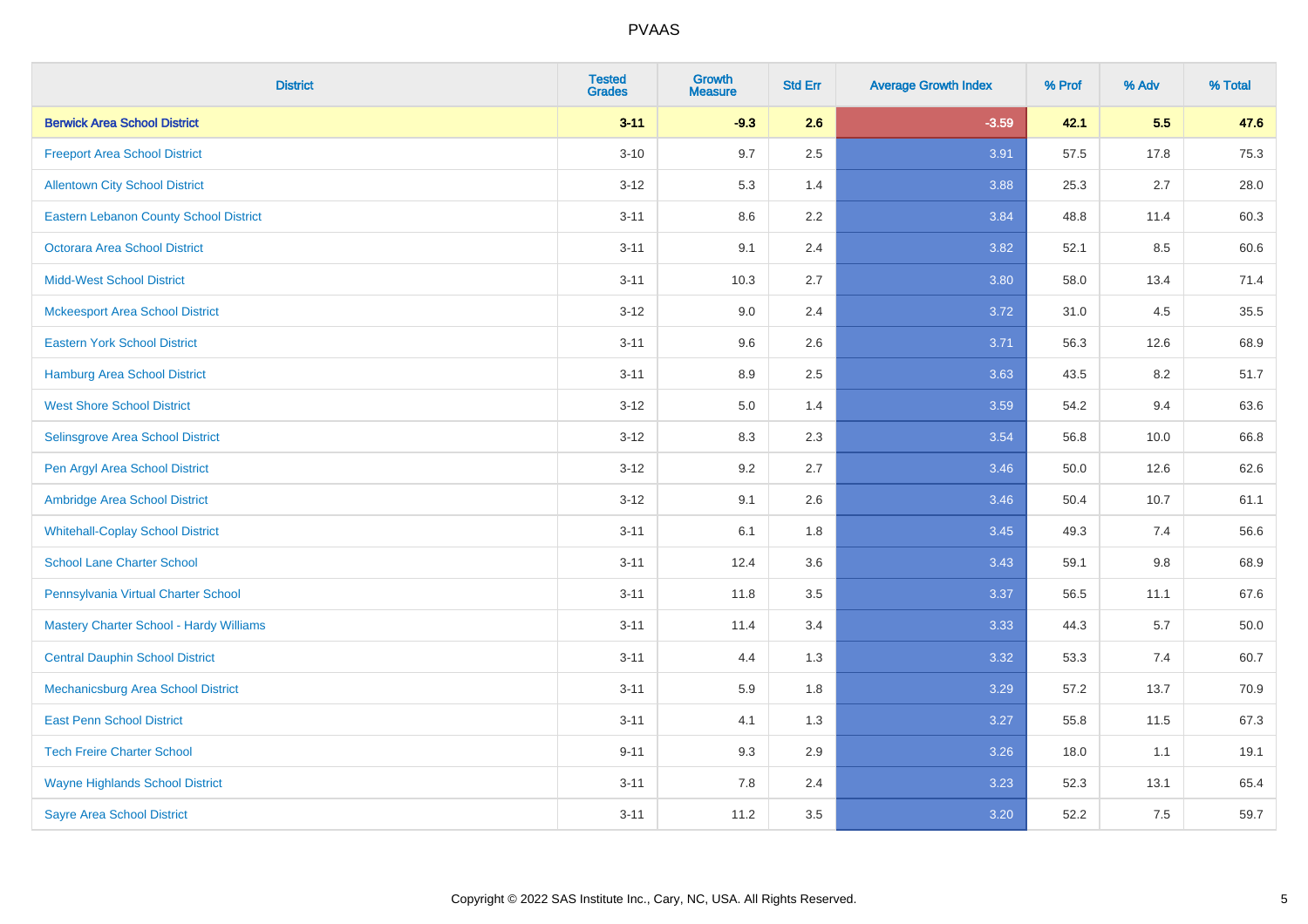| <b>District</b>                               | <b>Tested</b><br><b>Grades</b> | <b>Growth</b><br><b>Measure</b> | <b>Std Err</b> | <b>Average Growth Index</b> | % Prof | % Adv   | % Total  |
|-----------------------------------------------|--------------------------------|---------------------------------|----------------|-----------------------------|--------|---------|----------|
| <b>Berwick Area School District</b>           | $3 - 11$                       | $-9.3$                          | 2.6            | $-3.59$                     | 42.1   | 5.5     | 47.6     |
| <b>Freeport Area School District</b>          | $3 - 10$                       | 9.7                             | 2.5            | 3.91                        | 57.5   | 17.8    | 75.3     |
| <b>Allentown City School District</b>         | $3 - 12$                       | 5.3                             | 1.4            | 3.88                        | 25.3   | 2.7     | 28.0     |
| <b>Eastern Lebanon County School District</b> | $3 - 11$                       | 8.6                             | 2.2            | 3.84                        | 48.8   | 11.4    | 60.3     |
| <b>Octorara Area School District</b>          | $3 - 11$                       | 9.1                             | 2.4            | 3.82                        | 52.1   | 8.5     | 60.6     |
| <b>Midd-West School District</b>              | $3 - 11$                       | 10.3                            | 2.7            | 3.80                        | 58.0   | 13.4    | 71.4     |
| <b>Mckeesport Area School District</b>        | $3 - 12$                       | 9.0                             | 2.4            | 3.72                        | 31.0   | 4.5     | 35.5     |
| <b>Eastern York School District</b>           | $3 - 11$                       | 9.6                             | 2.6            | 3.71                        | 56.3   | 12.6    | 68.9     |
| <b>Hamburg Area School District</b>           | $3 - 11$                       | 8.9                             | 2.5            | 3.63                        | 43.5   | 8.2     | 51.7     |
| <b>West Shore School District</b>             | $3 - 12$                       | 5.0                             | 1.4            | 3.59                        | 54.2   | 9.4     | 63.6     |
| Selinsgrove Area School District              | $3 - 12$                       | 8.3                             | 2.3            | 3.54                        | 56.8   | 10.0    | 66.8     |
| Pen Argyl Area School District                | $3 - 12$                       | 9.2                             | 2.7            | 3.46                        | 50.0   | 12.6    | 62.6     |
| Ambridge Area School District                 | $3 - 12$                       | 9.1                             | 2.6            | 3.46                        | 50.4   | 10.7    | 61.1     |
| <b>Whitehall-Coplay School District</b>       | $3 - 11$                       | 6.1                             | 1.8            | 3.45                        | 49.3   | 7.4     | 56.6     |
| <b>School Lane Charter School</b>             | $3 - 11$                       | 12.4                            | 3.6            | 3.43                        | 59.1   | $9.8\,$ | 68.9     |
| Pennsylvania Virtual Charter School           | $3 - 11$                       | 11.8                            | $3.5\,$        | 3.37                        | 56.5   | 11.1    | 67.6     |
| Mastery Charter School - Hardy Williams       | $3 - 11$                       | 11.4                            | 3.4            | 3.33                        | 44.3   | 5.7     | $50.0\,$ |
| <b>Central Dauphin School District</b>        | $3 - 11$                       | 4.4                             | 1.3            | 3.32                        | 53.3   | 7.4     | 60.7     |
| Mechanicsburg Area School District            | $3 - 11$                       | 5.9                             | 1.8            | 3.29                        | 57.2   | 13.7    | 70.9     |
| <b>East Penn School District</b>              | $3 - 11$                       | 4.1                             | 1.3            | 3.27                        | 55.8   | 11.5    | 67.3     |
| <b>Tech Freire Charter School</b>             | $9 - 11$                       | 9.3                             | 2.9            | 3.26                        | 18.0   | 1.1     | 19.1     |
| <b>Wayne Highlands School District</b>        | $3 - 11$                       | 7.8                             | 2.4            | 3.23                        | 52.3   | 13.1    | 65.4     |
| <b>Sayre Area School District</b>             | $3 - 11$                       | 11.2                            | 3.5            | 3.20                        | 52.2   | 7.5     | 59.7     |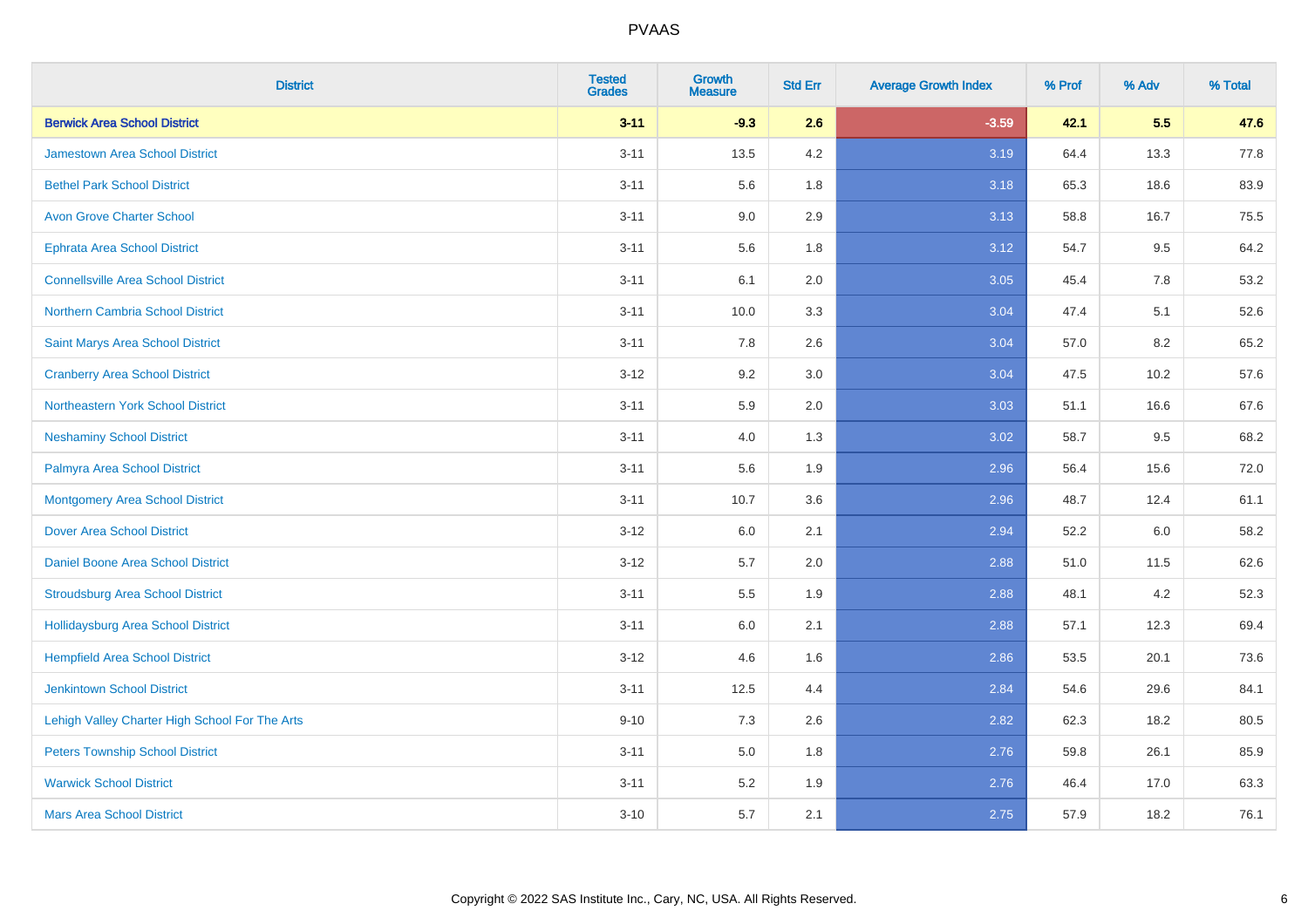| <b>District</b>                                | <b>Tested</b><br><b>Grades</b> | Growth<br><b>Measure</b> | <b>Std Err</b> | <b>Average Growth Index</b> | % Prof | % Adv | % Total |
|------------------------------------------------|--------------------------------|--------------------------|----------------|-----------------------------|--------|-------|---------|
| <b>Berwick Area School District</b>            | $3 - 11$                       | $-9.3$                   | 2.6            | $-3.59$                     | 42.1   | 5.5   | 47.6    |
| <b>Jamestown Area School District</b>          | $3 - 11$                       | 13.5                     | 4.2            | 3.19                        | 64.4   | 13.3  | 77.8    |
| <b>Bethel Park School District</b>             | $3 - 11$                       | 5.6                      | 1.8            | 3.18                        | 65.3   | 18.6  | 83.9    |
| <b>Avon Grove Charter School</b>               | $3 - 11$                       | 9.0                      | 2.9            | 3.13                        | 58.8   | 16.7  | 75.5    |
| <b>Ephrata Area School District</b>            | $3 - 11$                       | 5.6                      | 1.8            | 3.12                        | 54.7   | 9.5   | 64.2    |
| <b>Connellsville Area School District</b>      | $3 - 11$                       | 6.1                      | 2.0            | 3.05                        | 45.4   | 7.8   | 53.2    |
| Northern Cambria School District               | $3 - 11$                       | 10.0                     | 3.3            | 3.04                        | 47.4   | 5.1   | 52.6    |
| Saint Marys Area School District               | $3 - 11$                       | 7.8                      | 2.6            | 3.04                        | 57.0   | 8.2   | 65.2    |
| <b>Cranberry Area School District</b>          | $3 - 12$                       | 9.2                      | 3.0            | 3.04                        | 47.5   | 10.2  | 57.6    |
| <b>Northeastern York School District</b>       | $3 - 11$                       | 5.9                      | 2.0            | 3.03                        | 51.1   | 16.6  | 67.6    |
| <b>Neshaminy School District</b>               | $3 - 11$                       | 4.0                      | 1.3            | 3.02                        | 58.7   | 9.5   | 68.2    |
| Palmyra Area School District                   | $3 - 11$                       | 5.6                      | 1.9            | 2.96                        | 56.4   | 15.6  | 72.0    |
| <b>Montgomery Area School District</b>         | $3 - 11$                       | 10.7                     | 3.6            | 2.96                        | 48.7   | 12.4  | 61.1    |
| <b>Dover Area School District</b>              | $3 - 12$                       | 6.0                      | 2.1            | 2.94                        | 52.2   | 6.0   | 58.2    |
| Daniel Boone Area School District              | $3 - 12$                       | 5.7                      | 2.0            | 2.88                        | 51.0   | 11.5  | 62.6    |
| <b>Stroudsburg Area School District</b>        | $3 - 11$                       | 5.5                      | 1.9            | 2.88                        | 48.1   | 4.2   | 52.3    |
| <b>Hollidaysburg Area School District</b>      | $3 - 11$                       | 6.0                      | 2.1            | 2.88                        | 57.1   | 12.3  | 69.4    |
| <b>Hempfield Area School District</b>          | $3 - 12$                       | 4.6                      | 1.6            | 2.86                        | 53.5   | 20.1  | 73.6    |
| <b>Jenkintown School District</b>              | $3 - 11$                       | 12.5                     | 4.4            | 2.84                        | 54.6   | 29.6  | 84.1    |
| Lehigh Valley Charter High School For The Arts | $9 - 10$                       | 7.3                      | 2.6            | 2.82                        | 62.3   | 18.2  | 80.5    |
| <b>Peters Township School District</b>         | $3 - 11$                       | 5.0                      | 1.8            | 2.76                        | 59.8   | 26.1  | 85.9    |
| <b>Warwick School District</b>                 | $3 - 11$                       | 5.2                      | 1.9            | 2.76                        | 46.4   | 17.0  | 63.3    |
| <b>Mars Area School District</b>               | $3 - 10$                       | 5.7                      | 2.1            | 2.75                        | 57.9   | 18.2  | 76.1    |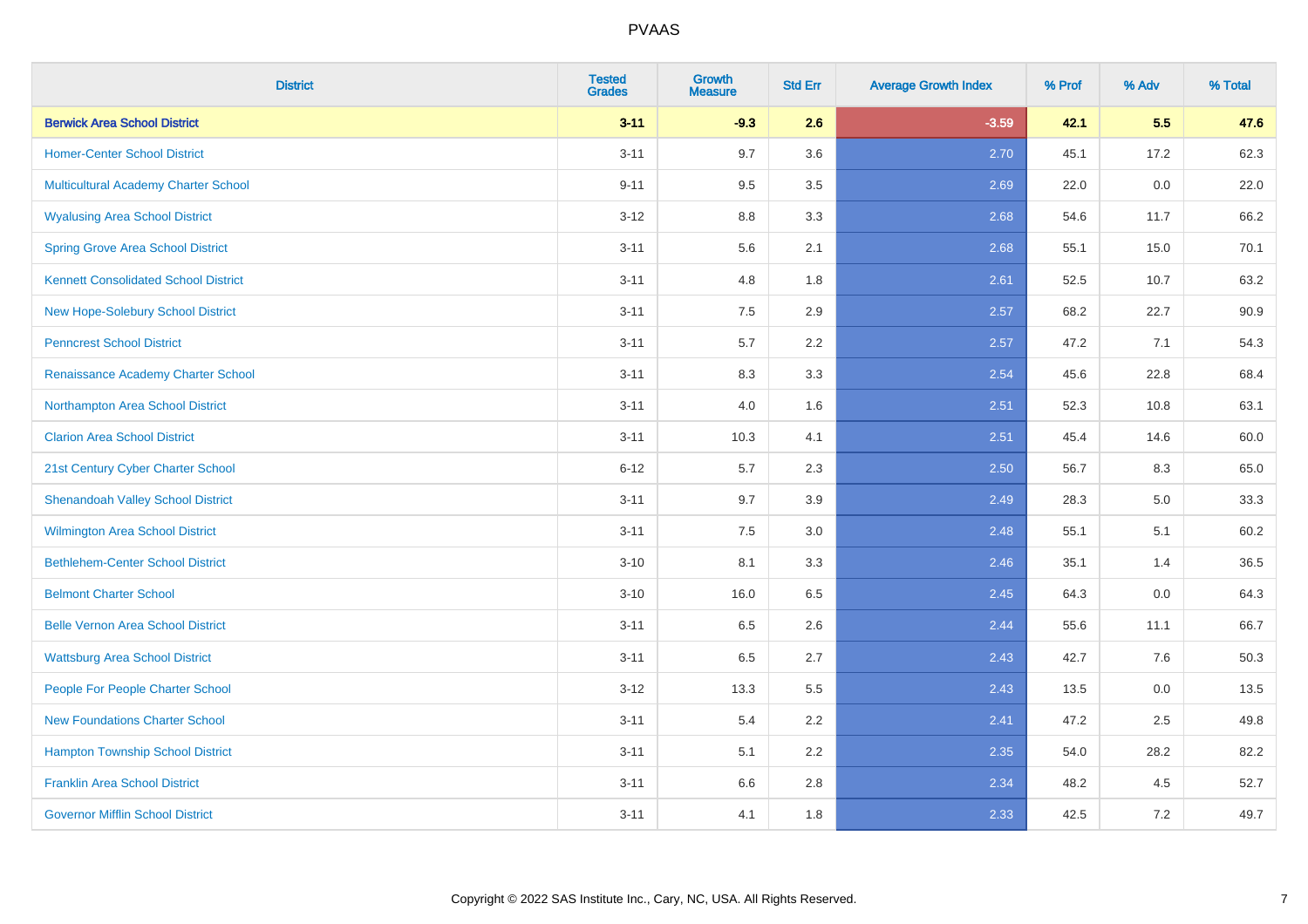| <b>District</b>                             | <b>Tested</b><br><b>Grades</b> | <b>Growth</b><br><b>Measure</b> | <b>Std Err</b> | <b>Average Growth Index</b> | % Prof | % Adv | % Total |
|---------------------------------------------|--------------------------------|---------------------------------|----------------|-----------------------------|--------|-------|---------|
| <b>Berwick Area School District</b>         | $3 - 11$                       | $-9.3$                          | 2.6            | $-3.59$                     | 42.1   | 5.5   | 47.6    |
| <b>Homer-Center School District</b>         | $3 - 11$                       | 9.7                             | 3.6            | 2.70                        | 45.1   | 17.2  | 62.3    |
| Multicultural Academy Charter School        | $9 - 11$                       | 9.5                             | 3.5            | 2.69                        | 22.0   | 0.0   | 22.0    |
| <b>Wyalusing Area School District</b>       | $3-12$                         | 8.8                             | 3.3            | 2.68                        | 54.6   | 11.7  | 66.2    |
| <b>Spring Grove Area School District</b>    | $3 - 11$                       | 5.6                             | 2.1            | 2.68                        | 55.1   | 15.0  | 70.1    |
| <b>Kennett Consolidated School District</b> | $3 - 11$                       | 4.8                             | 1.8            | 2.61                        | 52.5   | 10.7  | 63.2    |
| New Hope-Solebury School District           | $3 - 11$                       | 7.5                             | 2.9            | 2.57                        | 68.2   | 22.7  | 90.9    |
| <b>Penncrest School District</b>            | $3 - 11$                       | 5.7                             | 2.2            | 2.57                        | 47.2   | 7.1   | 54.3    |
| Renaissance Academy Charter School          | $3 - 11$                       | 8.3                             | 3.3            | 2.54                        | 45.6   | 22.8  | 68.4    |
| Northampton Area School District            | $3 - 11$                       | 4.0                             | 1.6            | 2.51                        | 52.3   | 10.8  | 63.1    |
| <b>Clarion Area School District</b>         | $3 - 11$                       | 10.3                            | 4.1            | 2.51                        | 45.4   | 14.6  | 60.0    |
| 21st Century Cyber Charter School           | $6 - 12$                       | 5.7                             | 2.3            | 2.50                        | 56.7   | 8.3   | 65.0    |
| <b>Shenandoah Valley School District</b>    | $3 - 11$                       | 9.7                             | 3.9            | 2.49                        | 28.3   | 5.0   | 33.3    |
| <b>Wilmington Area School District</b>      | $3 - 11$                       | 7.5                             | 3.0            | 2.48                        | 55.1   | 5.1   | 60.2    |
| <b>Bethlehem-Center School District</b>     | $3 - 10$                       | 8.1                             | 3.3            | 2.46                        | 35.1   | 1.4   | 36.5    |
| <b>Belmont Charter School</b>               | $3 - 10$                       | 16.0                            | 6.5            | 2.45                        | 64.3   | 0.0   | 64.3    |
| <b>Belle Vernon Area School District</b>    | $3 - 11$                       | 6.5                             | 2.6            | 2.44                        | 55.6   | 11.1  | 66.7    |
| <b>Wattsburg Area School District</b>       | $3 - 11$                       | 6.5                             | 2.7            | 2.43                        | 42.7   | 7.6   | 50.3    |
| People For People Charter School            | $3 - 12$                       | 13.3                            | 5.5            | 2.43                        | 13.5   | 0.0   | 13.5    |
| <b>New Foundations Charter School</b>       | $3 - 11$                       | 5.4                             | 2.2            | 2.41                        | 47.2   | 2.5   | 49.8    |
| <b>Hampton Township School District</b>     | $3 - 11$                       | 5.1                             | 2.2            | 2.35                        | 54.0   | 28.2  | 82.2    |
| <b>Franklin Area School District</b>        | $3 - 11$                       | 6.6                             | 2.8            | 2.34                        | 48.2   | 4.5   | 52.7    |
| <b>Governor Mifflin School District</b>     | $3 - 11$                       | 4.1                             | 1.8            | 2.33                        | 42.5   | 7.2   | 49.7    |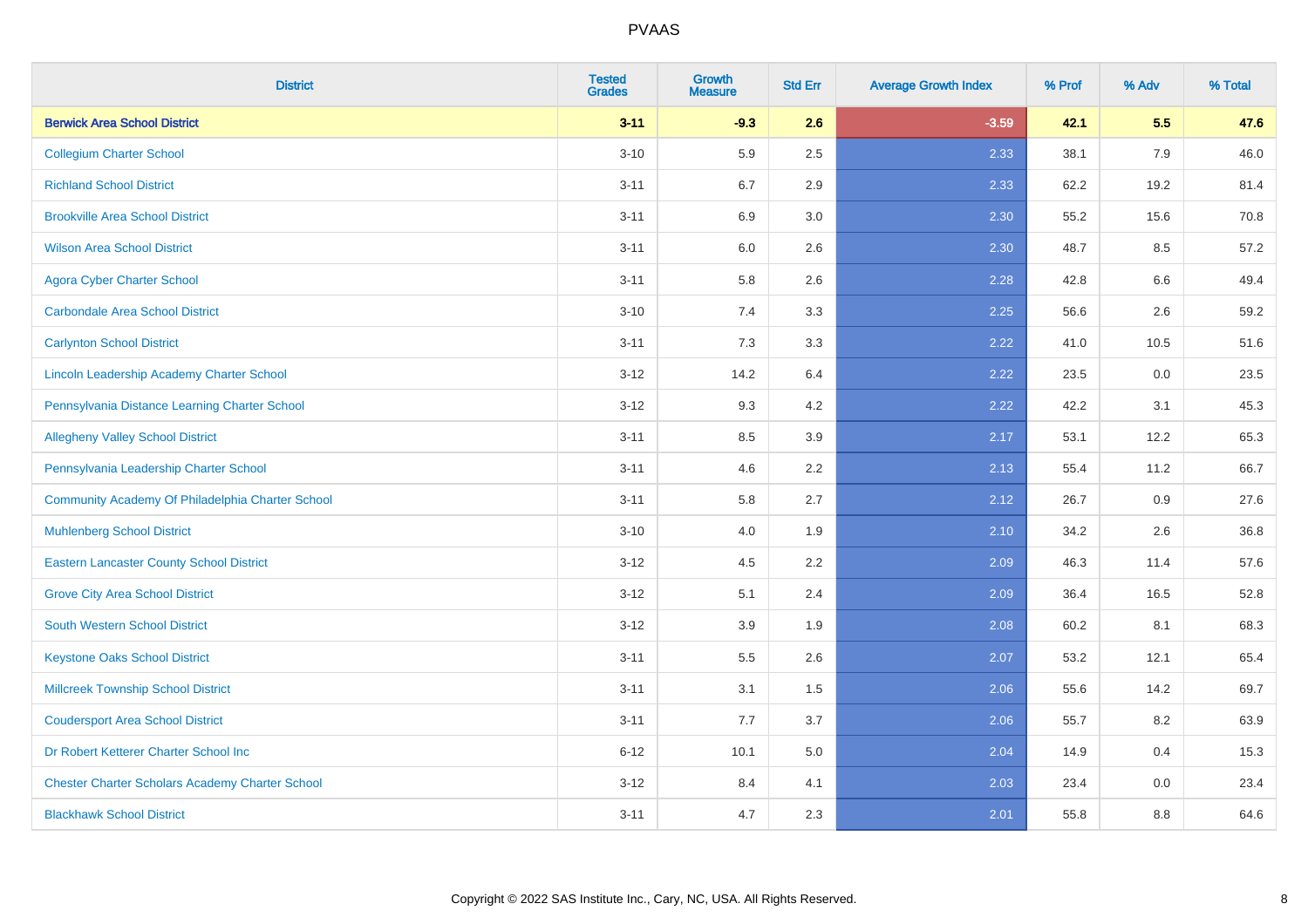| <b>District</b>                                        | <b>Tested</b><br><b>Grades</b> | <b>Growth</b><br><b>Measure</b> | <b>Std Err</b> | <b>Average Growth Index</b> | % Prof | % Adv | % Total |
|--------------------------------------------------------|--------------------------------|---------------------------------|----------------|-----------------------------|--------|-------|---------|
| <b>Berwick Area School District</b>                    | $3 - 11$                       | $-9.3$                          | 2.6            | $-3.59$                     | 42.1   | 5.5   | 47.6    |
| <b>Collegium Charter School</b>                        | $3 - 10$                       | 5.9                             | 2.5            | 2.33                        | 38.1   | 7.9   | 46.0    |
| <b>Richland School District</b>                        | $3 - 11$                       | 6.7                             | 2.9            | 2.33                        | 62.2   | 19.2  | 81.4    |
| <b>Brookville Area School District</b>                 | $3 - 11$                       | 6.9                             | 3.0            | 2.30                        | 55.2   | 15.6  | 70.8    |
| <b>Wilson Area School District</b>                     | $3 - 11$                       | 6.0                             | 2.6            | 2.30                        | 48.7   | 8.5   | 57.2    |
| <b>Agora Cyber Charter School</b>                      | $3 - 11$                       | 5.8                             | 2.6            | 2.28                        | 42.8   | 6.6   | 49.4    |
| <b>Carbondale Area School District</b>                 | $3 - 10$                       | 7.4                             | 3.3            | 2.25                        | 56.6   | 2.6   | 59.2    |
| <b>Carlynton School District</b>                       | $3 - 11$                       | 7.3                             | 3.3            | 2.22                        | 41.0   | 10.5  | 51.6    |
| Lincoln Leadership Academy Charter School              | $3 - 12$                       | 14.2                            | 6.4            | 2.22                        | 23.5   | 0.0   | 23.5    |
| Pennsylvania Distance Learning Charter School          | $3 - 12$                       | 9.3                             | 4.2            | 2.22                        | 42.2   | 3.1   | 45.3    |
| <b>Allegheny Valley School District</b>                | $3 - 11$                       | 8.5                             | 3.9            | 2.17                        | 53.1   | 12.2  | 65.3    |
| Pennsylvania Leadership Charter School                 | $3 - 11$                       | 4.6                             | 2.2            | 2.13                        | 55.4   | 11.2  | 66.7    |
| Community Academy Of Philadelphia Charter School       | $3 - 11$                       | 5.8                             | 2.7            | 2.12                        | 26.7   | 0.9   | 27.6    |
| <b>Muhlenberg School District</b>                      | $3 - 10$                       | 4.0                             | 1.9            | 2.10                        | 34.2   | 2.6   | 36.8    |
| <b>Eastern Lancaster County School District</b>        | $3 - 12$                       | 4.5                             | 2.2            | 2.09                        | 46.3   | 11.4  | 57.6    |
| <b>Grove City Area School District</b>                 | $3 - 12$                       | 5.1                             | 2.4            | 2.09                        | 36.4   | 16.5  | 52.8    |
| <b>South Western School District</b>                   | $3 - 12$                       | 3.9                             | 1.9            | 2.08                        | 60.2   | 8.1   | 68.3    |
| <b>Keystone Oaks School District</b>                   | $3 - 11$                       | 5.5                             | 2.6            | 2.07                        | 53.2   | 12.1  | 65.4    |
| <b>Millcreek Township School District</b>              | $3 - 11$                       | 3.1                             | 1.5            | 2.06                        | 55.6   | 14.2  | 69.7    |
| <b>Coudersport Area School District</b>                | $3 - 11$                       | 7.7                             | 3.7            | 2.06                        | 55.7   | 8.2   | 63.9    |
| Dr Robert Ketterer Charter School Inc                  | $6 - 12$                       | 10.1                            | 5.0            | 2.04                        | 14.9   | 0.4   | 15.3    |
| <b>Chester Charter Scholars Academy Charter School</b> | $3 - 12$                       | 8.4                             | 4.1            | 2.03                        | 23.4   | 0.0   | 23.4    |
| <b>Blackhawk School District</b>                       | $3 - 11$                       | 4.7                             | 2.3            | 2.01                        | 55.8   | 8.8   | 64.6    |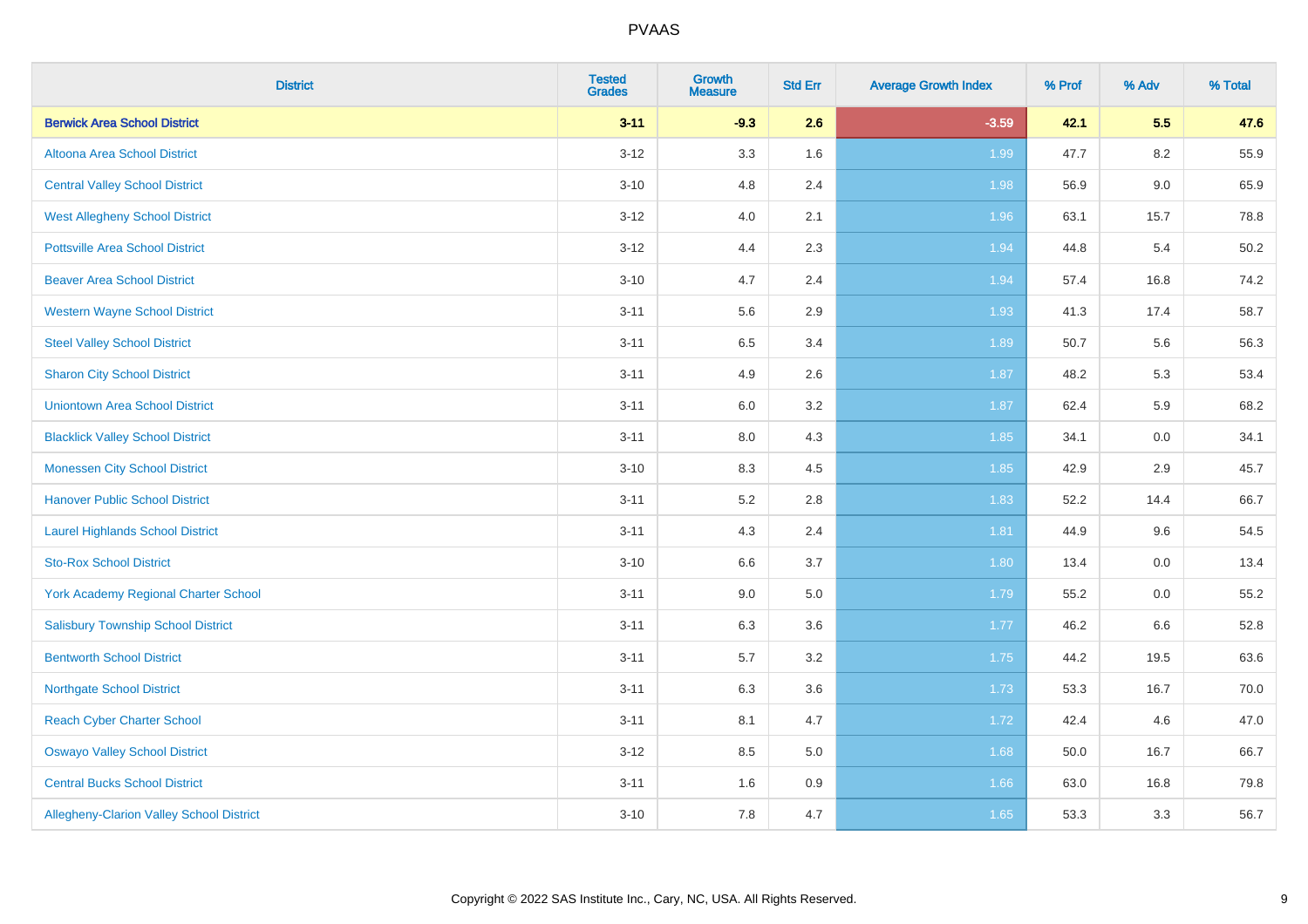| <b>District</b>                                 | <b>Tested</b><br><b>Grades</b> | <b>Growth</b><br><b>Measure</b> | <b>Std Err</b> | <b>Average Growth Index</b> | % Prof | % Adv   | % Total |
|-------------------------------------------------|--------------------------------|---------------------------------|----------------|-----------------------------|--------|---------|---------|
| <b>Berwick Area School District</b>             | $3 - 11$                       | $-9.3$                          | 2.6            | $-3.59$                     | 42.1   | 5.5     | 47.6    |
| Altoona Area School District                    | $3 - 12$                       | 3.3                             | 1.6            | 1.99                        | 47.7   | 8.2     | 55.9    |
| <b>Central Valley School District</b>           | $3 - 10$                       | 4.8                             | 2.4            | 1.98                        | 56.9   | $9.0\,$ | 65.9    |
| <b>West Allegheny School District</b>           | $3 - 12$                       | 4.0                             | 2.1            | 1.96                        | 63.1   | 15.7    | 78.8    |
| <b>Pottsville Area School District</b>          | $3 - 12$                       | 4.4                             | 2.3            | 1.94                        | 44.8   | 5.4     | 50.2    |
| <b>Beaver Area School District</b>              | $3 - 10$                       | 4.7                             | 2.4            | 1.94                        | 57.4   | 16.8    | 74.2    |
| <b>Western Wayne School District</b>            | $3 - 11$                       | 5.6                             | 2.9            | 1.93                        | 41.3   | 17.4    | 58.7    |
| <b>Steel Valley School District</b>             | $3 - 11$                       | 6.5                             | 3.4            | 1.89                        | 50.7   | 5.6     | 56.3    |
| <b>Sharon City School District</b>              | $3 - 11$                       | 4.9                             | 2.6            | 1.87                        | 48.2   | 5.3     | 53.4    |
| <b>Uniontown Area School District</b>           | $3 - 11$                       | 6.0                             | 3.2            | 1.87                        | 62.4   | 5.9     | 68.2    |
| <b>Blacklick Valley School District</b>         | $3 - 11$                       | 8.0                             | 4.3            | 1.85                        | 34.1   | 0.0     | 34.1    |
| <b>Monessen City School District</b>            | $3 - 10$                       | 8.3                             | 4.5            | 1.85                        | 42.9   | 2.9     | 45.7    |
| <b>Hanover Public School District</b>           | $3 - 11$                       | 5.2                             | 2.8            | 1.83                        | 52.2   | 14.4    | 66.7    |
| <b>Laurel Highlands School District</b>         | $3 - 11$                       | 4.3                             | 2.4            | 1.81                        | 44.9   | 9.6     | 54.5    |
| <b>Sto-Rox School District</b>                  | $3 - 10$                       | 6.6                             | 3.7            | 1.80                        | 13.4   | $0.0\,$ | 13.4    |
| <b>York Academy Regional Charter School</b>     | $3 - 11$                       | 9.0                             | 5.0            | 1.79                        | 55.2   | 0.0     | 55.2    |
| <b>Salisbury Township School District</b>       | $3 - 11$                       | 6.3                             | 3.6            | 1.77                        | 46.2   | 6.6     | 52.8    |
| <b>Bentworth School District</b>                | $3 - 11$                       | 5.7                             | 3.2            | 1.75                        | 44.2   | 19.5    | 63.6    |
| <b>Northgate School District</b>                | $3 - 11$                       | 6.3                             | 3.6            | 1.73                        | 53.3   | 16.7    | 70.0    |
| <b>Reach Cyber Charter School</b>               | $3 - 11$                       | 8.1                             | 4.7            | 1.72                        | 42.4   | 4.6     | 47.0    |
| <b>Oswayo Valley School District</b>            | $3 - 12$                       | 8.5                             | 5.0            | 1.68                        | 50.0   | 16.7    | 66.7    |
| <b>Central Bucks School District</b>            | $3 - 11$                       | 1.6                             | 0.9            | 1.66                        | 63.0   | 16.8    | 79.8    |
| <b>Allegheny-Clarion Valley School District</b> | $3 - 10$                       | 7.8                             | 4.7            | 1.65                        | 53.3   | 3.3     | 56.7    |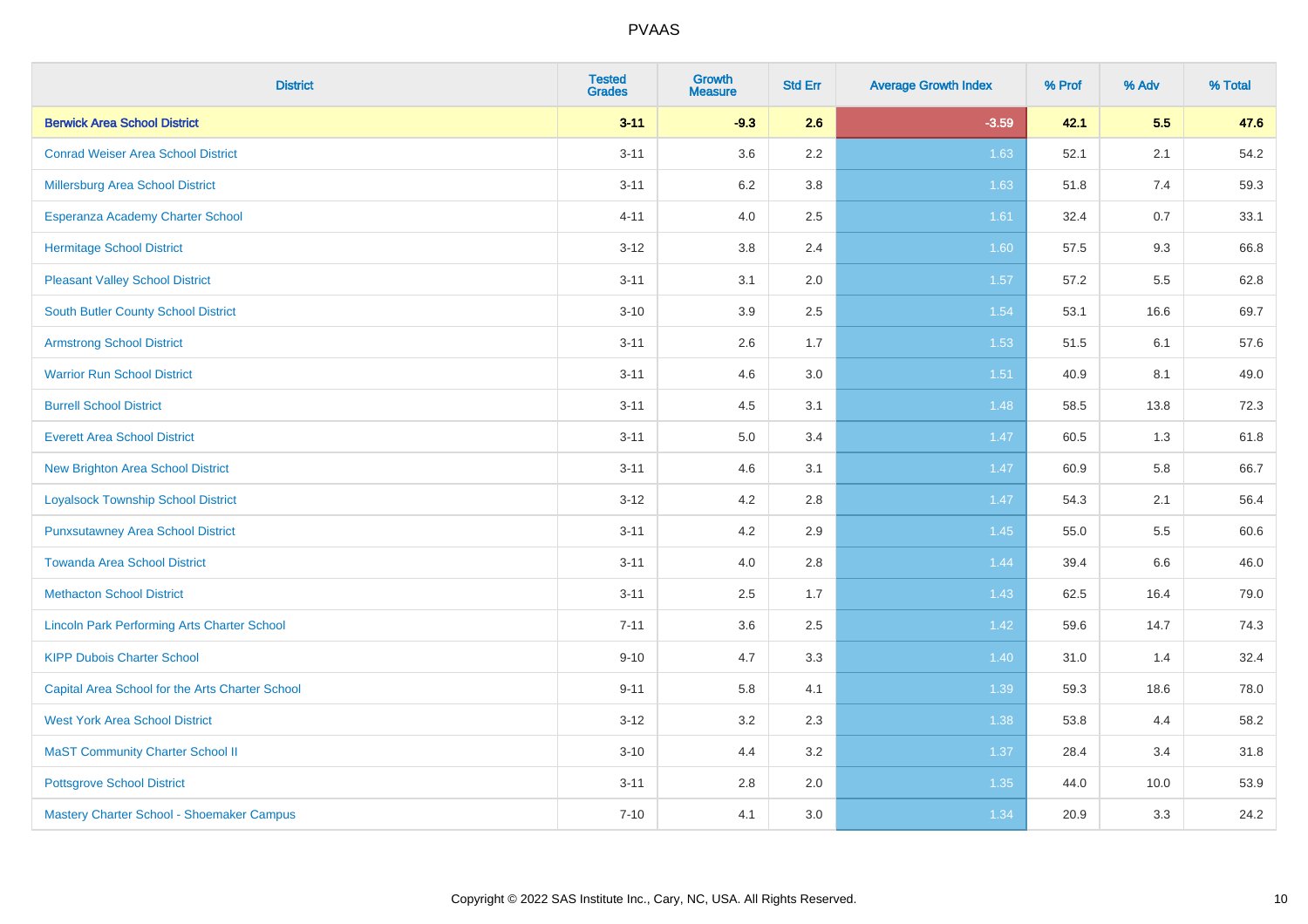| <b>District</b>                                    | <b>Tested</b><br><b>Grades</b> | <b>Growth</b><br><b>Measure</b> | <b>Std Err</b> | <b>Average Growth Index</b> | % Prof | % Adv | % Total |
|----------------------------------------------------|--------------------------------|---------------------------------|----------------|-----------------------------|--------|-------|---------|
| <b>Berwick Area School District</b>                | $3 - 11$                       | $-9.3$                          | 2.6            | $-3.59$                     | 42.1   | 5.5   | 47.6    |
| <b>Conrad Weiser Area School District</b>          | $3 - 11$                       | 3.6                             | $2.2\,$        | 1.63                        | 52.1   | 2.1   | 54.2    |
| Millersburg Area School District                   | $3 - 11$                       | 6.2                             | 3.8            | 1.63                        | 51.8   | 7.4   | 59.3    |
| Esperanza Academy Charter School                   | $4 - 11$                       | 4.0                             | 2.5            | 1.61                        | 32.4   | 0.7   | 33.1    |
| <b>Hermitage School District</b>                   | $3 - 12$                       | 3.8                             | 2.4            | 1.60                        | 57.5   | 9.3   | 66.8    |
| <b>Pleasant Valley School District</b>             | $3 - 11$                       | 3.1                             | 2.0            | 1.57                        | 57.2   | 5.5   | 62.8    |
| <b>South Butler County School District</b>         | $3 - 10$                       | 3.9                             | 2.5            | 1.54                        | 53.1   | 16.6  | 69.7    |
| <b>Armstrong School District</b>                   | $3 - 11$                       | 2.6                             | 1.7            | 1.53                        | 51.5   | 6.1   | 57.6    |
| <b>Warrior Run School District</b>                 | $3 - 11$                       | 4.6                             | 3.0            | 1.51                        | 40.9   | 8.1   | 49.0    |
| <b>Burrell School District</b>                     | $3 - 11$                       | 4.5                             | 3.1            | 1.48                        | 58.5   | 13.8  | 72.3    |
| <b>Everett Area School District</b>                | $3 - 11$                       | 5.0                             | 3.4            | 1.47                        | 60.5   | 1.3   | 61.8    |
| <b>New Brighton Area School District</b>           | $3 - 11$                       | 4.6                             | 3.1            | 1.47                        | 60.9   | 5.8   | 66.7    |
| <b>Loyalsock Township School District</b>          | $3 - 12$                       | 4.2                             | 2.8            | 1.47                        | 54.3   | 2.1   | 56.4    |
| <b>Punxsutawney Area School District</b>           | $3 - 11$                       | 4.2                             | 2.9            | 1.45                        | 55.0   | 5.5   | 60.6    |
| <b>Towanda Area School District</b>                | $3 - 11$                       | 4.0                             | 2.8            | 1.44                        | 39.4   | 6.6   | 46.0    |
| <b>Methacton School District</b>                   | $3 - 11$                       | 2.5                             | 1.7            | 1.43                        | 62.5   | 16.4  | 79.0    |
| <b>Lincoln Park Performing Arts Charter School</b> | $7 - 11$                       | 3.6                             | 2.5            | 1.42                        | 59.6   | 14.7  | 74.3    |
| <b>KIPP Dubois Charter School</b>                  | $9 - 10$                       | 4.7                             | 3.3            | 1.40                        | 31.0   | 1.4   | 32.4    |
| Capital Area School for the Arts Charter School    | $9 - 11$                       | 5.8                             | 4.1            | 1.39                        | 59.3   | 18.6  | 78.0    |
| <b>West York Area School District</b>              | $3 - 12$                       | 3.2                             | 2.3            | 1.38                        | 53.8   | 4.4   | 58.2    |
| <b>MaST Community Charter School II</b>            | $3 - 10$                       | 4.4                             | 3.2            | 1.37                        | 28.4   | 3.4   | 31.8    |
| <b>Pottsgrove School District</b>                  | $3 - 11$                       | 2.8                             | 2.0            | 1.35                        | 44.0   | 10.0  | 53.9    |
| Mastery Charter School - Shoemaker Campus          | $7 - 10$                       | 4.1                             | 3.0            | 1.34                        | 20.9   | 3.3   | 24.2    |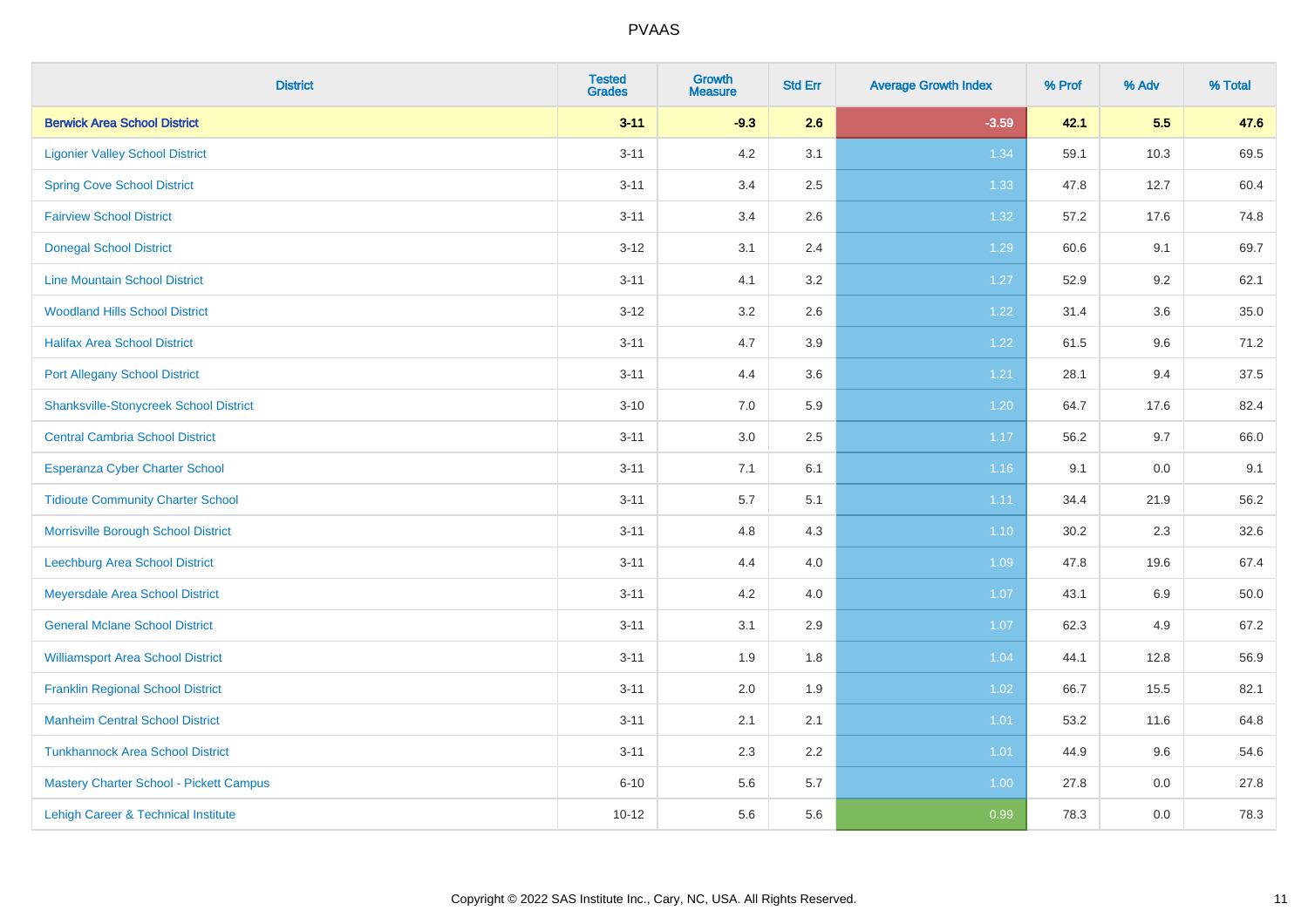| <b>District</b>                               | <b>Tested</b><br><b>Grades</b> | <b>Growth</b><br><b>Measure</b> | <b>Std Err</b> | <b>Average Growth Index</b> | % Prof | % Adv | % Total |
|-----------------------------------------------|--------------------------------|---------------------------------|----------------|-----------------------------|--------|-------|---------|
| <b>Berwick Area School District</b>           | $3 - 11$                       | $-9.3$                          | 2.6            | $-3.59$                     | 42.1   | 5.5   | 47.6    |
| <b>Ligonier Valley School District</b>        | $3 - 11$                       | $4.2\,$                         | 3.1            | 1.34                        | 59.1   | 10.3  | 69.5    |
| <b>Spring Cove School District</b>            | $3 - 11$                       | 3.4                             | 2.5            | 1.33                        | 47.8   | 12.7  | 60.4    |
| <b>Fairview School District</b>               | $3 - 11$                       | 3.4                             | 2.6            | 1.32                        | 57.2   | 17.6  | 74.8    |
| <b>Donegal School District</b>                | $3 - 12$                       | 3.1                             | 2.4            | 1.29                        | 60.6   | 9.1   | 69.7    |
| <b>Line Mountain School District</b>          | $3 - 11$                       | 4.1                             | 3.2            | 1.27                        | 52.9   | 9.2   | 62.1    |
| <b>Woodland Hills School District</b>         | $3 - 12$                       | 3.2                             | 2.6            | 1.22                        | 31.4   | 3.6   | 35.0    |
| <b>Halifax Area School District</b>           | $3 - 11$                       | 4.7                             | 3.9            | 1.22                        | 61.5   | 9.6   | 71.2    |
| <b>Port Allegany School District</b>          | $3 - 11$                       | 4.4                             | 3.6            | 1.21                        | 28.1   | 9.4   | 37.5    |
| <b>Shanksville-Stonycreek School District</b> | $3 - 10$                       | 7.0                             | 5.9            | 1.20                        | 64.7   | 17.6  | 82.4    |
| <b>Central Cambria School District</b>        | $3 - 11$                       | 3.0                             | 2.5            | 1.17                        | 56.2   | 9.7   | 66.0    |
| Esperanza Cyber Charter School                | $3 - 11$                       | 7.1                             | 6.1            | 1.16                        | 9.1    | 0.0   | 9.1     |
| <b>Tidioute Community Charter School</b>      | $3 - 11$                       | $5.7\,$                         | 5.1            | 1.11                        | 34.4   | 21.9  | 56.2    |
| Morrisville Borough School District           | $3 - 11$                       | 4.8                             | 4.3            | 1.10                        | 30.2   | 2.3   | 32.6    |
| <b>Leechburg Area School District</b>         | $3 - 11$                       | 4.4                             | 4.0            | 1.09                        | 47.8   | 19.6  | 67.4    |
| Meyersdale Area School District               | $3 - 11$                       | 4.2                             | 4.0            | 1.07                        | 43.1   | 6.9   | 50.0    |
| <b>General Mclane School District</b>         | $3 - 11$                       | 3.1                             | 2.9            | 1.07                        | 62.3   | 4.9   | 67.2    |
| <b>Williamsport Area School District</b>      | $3 - 11$                       | 1.9                             | 1.8            | 1.04                        | 44.1   | 12.8  | 56.9    |
| <b>Franklin Regional School District</b>      | $3 - 11$                       | 2.0                             | 1.9            | 1.02                        | 66.7   | 15.5  | 82.1    |
| <b>Manheim Central School District</b>        | $3 - 11$                       | 2.1                             | 2.1            | $1.01$                      | 53.2   | 11.6  | 64.8    |
| <b>Tunkhannock Area School District</b>       | $3 - 11$                       | 2.3                             | 2.2            | 1.01                        | 44.9   | 9.6   | 54.6    |
| Mastery Charter School - Pickett Campus       | $6 - 10$                       | 5.6                             | 5.7            | 1.00                        | 27.8   | 0.0   | 27.8    |
| Lehigh Career & Technical Institute           | $10 - 12$                      | 5.6                             | 5.6            | 0.99                        | 78.3   | 0.0   | 78.3    |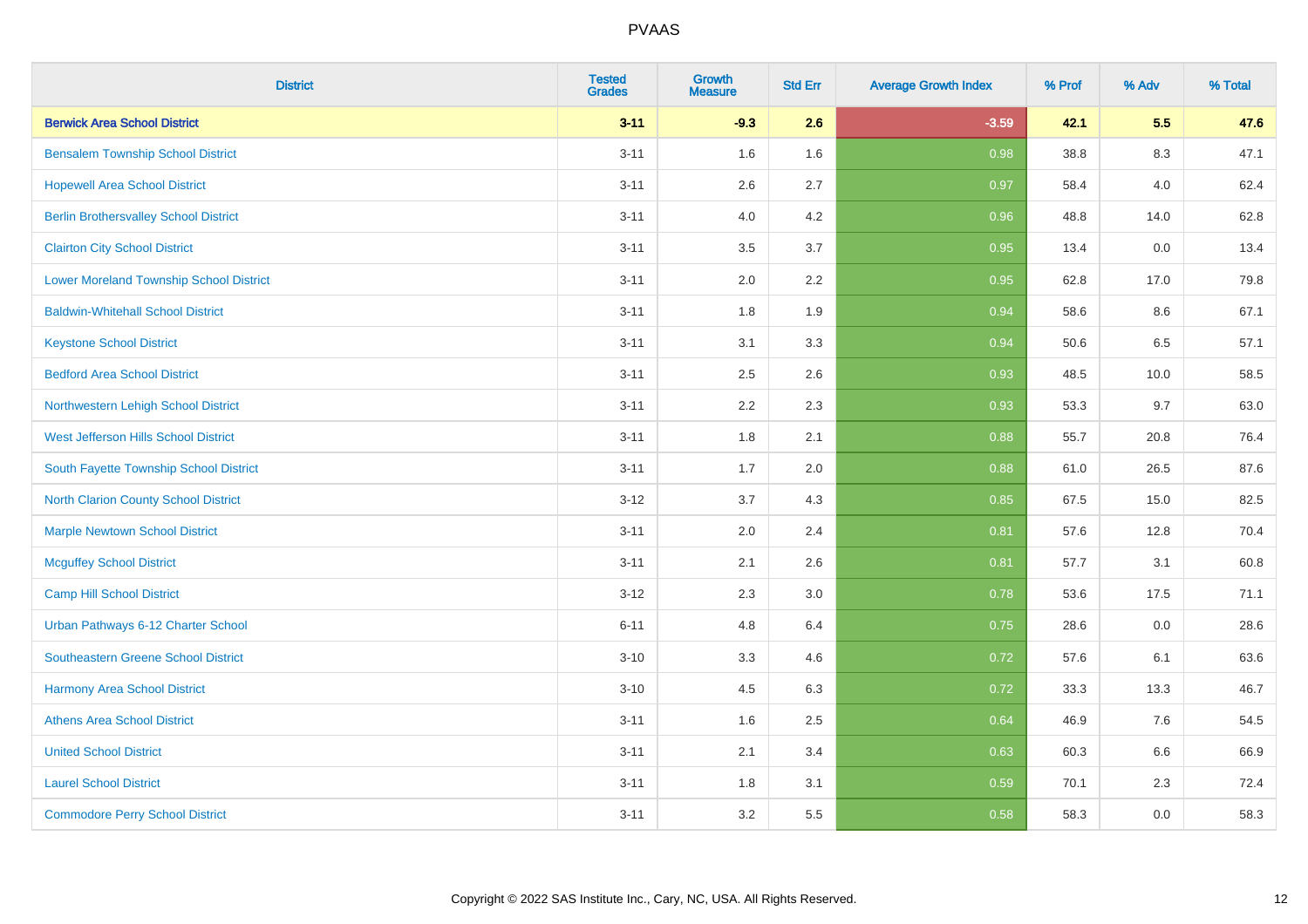| <b>District</b>                                | <b>Tested</b><br><b>Grades</b> | <b>Growth</b><br><b>Measure</b> | <b>Std Err</b> | <b>Average Growth Index</b> | % Prof | % Adv | % Total |
|------------------------------------------------|--------------------------------|---------------------------------|----------------|-----------------------------|--------|-------|---------|
| <b>Berwick Area School District</b>            | $3 - 11$                       | $-9.3$                          | 2.6            | $-3.59$                     | 42.1   | 5.5   | 47.6    |
| <b>Bensalem Township School District</b>       | $3 - 11$                       | 1.6                             | 1.6            | 0.98                        | 38.8   | 8.3   | 47.1    |
| <b>Hopewell Area School District</b>           | $3 - 11$                       | 2.6                             | 2.7            | 0.97                        | 58.4   | 4.0   | 62.4    |
| <b>Berlin Brothersvalley School District</b>   | $3 - 11$                       | 4.0                             | 4.2            | 0.96                        | 48.8   | 14.0  | 62.8    |
| <b>Clairton City School District</b>           | $3 - 11$                       | 3.5                             | 3.7            | 0.95                        | 13.4   | 0.0   | 13.4    |
| <b>Lower Moreland Township School District</b> | $3 - 11$                       | 2.0                             | 2.2            | 0.95                        | 62.8   | 17.0  | 79.8    |
| <b>Baldwin-Whitehall School District</b>       | $3 - 11$                       | 1.8                             | 1.9            | 0.94                        | 58.6   | 8.6   | 67.1    |
| <b>Keystone School District</b>                | $3 - 11$                       | 3.1                             | 3.3            | 0.94                        | 50.6   | 6.5   | 57.1    |
| <b>Bedford Area School District</b>            | $3 - 11$                       | 2.5                             | 2.6            | 0.93                        | 48.5   | 10.0  | 58.5    |
| Northwestern Lehigh School District            | $3 - 11$                       | 2.2                             | 2.3            | 0.93                        | 53.3   | 9.7   | 63.0    |
| West Jefferson Hills School District           | $3 - 11$                       | 1.8                             | 2.1            | 0.88                        | 55.7   | 20.8  | 76.4    |
| South Fayette Township School District         | $3 - 11$                       | 1.7                             | 2.0            | 0.88                        | 61.0   | 26.5  | 87.6    |
| <b>North Clarion County School District</b>    | $3 - 12$                       | 3.7                             | 4.3            | 0.85                        | 67.5   | 15.0  | 82.5    |
| <b>Marple Newtown School District</b>          | $3 - 11$                       | 2.0                             | 2.4            | 0.81                        | 57.6   | 12.8  | 70.4    |
| <b>Mcguffey School District</b>                | $3 - 11$                       | 2.1                             | 2.6            | 0.81                        | 57.7   | 3.1   | 60.8    |
| <b>Camp Hill School District</b>               | $3 - 12$                       | 2.3                             | 3.0            | 0.78                        | 53.6   | 17.5  | 71.1    |
| Urban Pathways 6-12 Charter School             | $6 - 11$                       | 4.8                             | 6.4            | 0.75                        | 28.6   | 0.0   | 28.6    |
| Southeastern Greene School District            | $3 - 10$                       | 3.3                             | 4.6            | $\overline{0.72}$           | 57.6   | 6.1   | 63.6    |
| <b>Harmony Area School District</b>            | $3 - 10$                       | 4.5                             | 6.3            | 0.72                        | 33.3   | 13.3  | 46.7    |
| <b>Athens Area School District</b>             | $3 - 11$                       | 1.6                             | 2.5            | 0.64                        | 46.9   | 7.6   | 54.5    |
| <b>United School District</b>                  | $3 - 11$                       | 2.1                             | 3.4            | 0.63                        | 60.3   | 6.6   | 66.9    |
| <b>Laurel School District</b>                  | $3 - 11$                       | 1.8                             | 3.1            | 0.59                        | 70.1   | 2.3   | 72.4    |
| <b>Commodore Perry School District</b>         | $3 - 11$                       | 3.2                             | 5.5            | 0.58                        | 58.3   | 0.0   | 58.3    |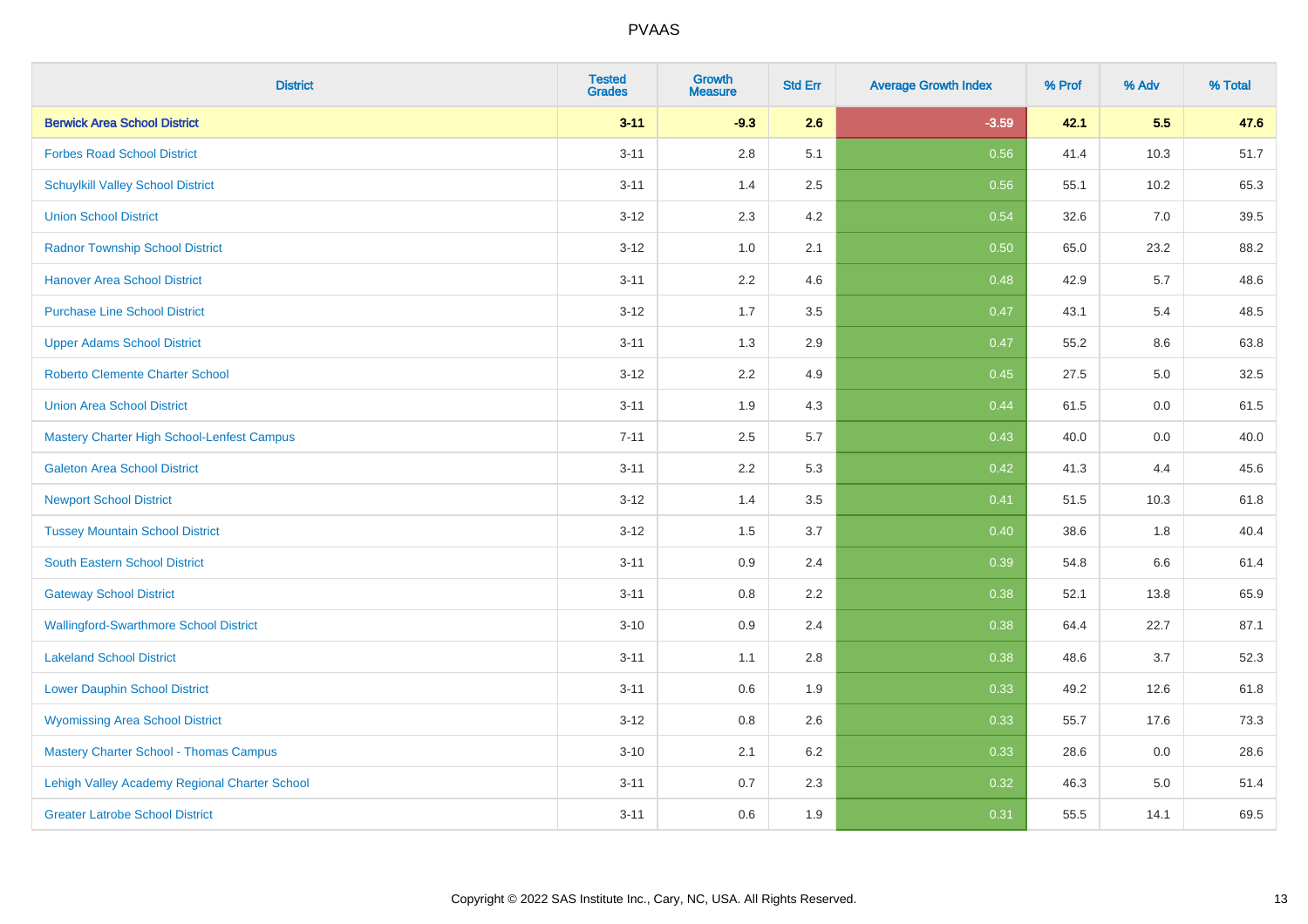| <b>District</b>                               | <b>Tested</b><br><b>Grades</b> | <b>Growth</b><br><b>Measure</b> | <b>Std Err</b> | <b>Average Growth Index</b> | % Prof | % Adv | % Total |
|-----------------------------------------------|--------------------------------|---------------------------------|----------------|-----------------------------|--------|-------|---------|
| <b>Berwick Area School District</b>           | $3 - 11$                       | $-9.3$                          | 2.6            | $-3.59$                     | 42.1   | 5.5   | 47.6    |
| <b>Forbes Road School District</b>            | $3 - 11$                       | $2.8\,$                         | 5.1            | 0.56                        | 41.4   | 10.3  | 51.7    |
| <b>Schuylkill Valley School District</b>      | $3 - 11$                       | 1.4                             | 2.5            | 0.56                        | 55.1   | 10.2  | 65.3    |
| <b>Union School District</b>                  | $3 - 12$                       | 2.3                             | 4.2            | 0.54                        | 32.6   | 7.0   | 39.5    |
| <b>Radnor Township School District</b>        | $3 - 12$                       | 1.0                             | 2.1            | 0.50                        | 65.0   | 23.2  | 88.2    |
| <b>Hanover Area School District</b>           | $3 - 11$                       | 2.2                             | 4.6            | 0.48                        | 42.9   | 5.7   | 48.6    |
| <b>Purchase Line School District</b>          | $3 - 12$                       | 1.7                             | 3.5            | 0.47                        | 43.1   | 5.4   | 48.5    |
| <b>Upper Adams School District</b>            | $3 - 11$                       | 1.3                             | 2.9            | 0.47                        | 55.2   | 8.6   | 63.8    |
| Roberto Clemente Charter School               | $3 - 12$                       | 2.2                             | 4.9            | 0.45                        | 27.5   | 5.0   | 32.5    |
| <b>Union Area School District</b>             | $3 - 11$                       | 1.9                             | 4.3            | 0.44                        | 61.5   | 0.0   | 61.5    |
| Mastery Charter High School-Lenfest Campus    | $7 - 11$                       | 2.5                             | 5.7            | 0.43                        | 40.0   | 0.0   | 40.0    |
| <b>Galeton Area School District</b>           | $3 - 11$                       | 2.2                             | 5.3            | 0.42                        | 41.3   | 4.4   | 45.6    |
| <b>Newport School District</b>                | $3 - 12$                       | 1.4                             | 3.5            | 0.41                        | 51.5   | 10.3  | 61.8    |
| <b>Tussey Mountain School District</b>        | $3 - 12$                       | 1.5                             | 3.7            | 0.40                        | 38.6   | 1.8   | 40.4    |
| South Eastern School District                 | $3 - 11$                       | 0.9                             | 2.4            | 0.39                        | 54.8   | 6.6   | 61.4    |
| <b>Gateway School District</b>                | $3 - 11$                       | 0.8                             | 2.2            | 0.38                        | 52.1   | 13.8  | 65.9    |
| <b>Wallingford-Swarthmore School District</b> | $3 - 10$                       | 0.9                             | 2.4            | 0.38                        | 64.4   | 22.7  | 87.1    |
| <b>Lakeland School District</b>               | $3 - 11$                       | 1.1                             | 2.8            | 0.38                        | 48.6   | 3.7   | 52.3    |
| <b>Lower Dauphin School District</b>          | $3 - 11$                       | 0.6                             | 1.9            | 0.33                        | 49.2   | 12.6  | 61.8    |
| <b>Wyomissing Area School District</b>        | $3 - 12$                       | $0.8\,$                         | 2.6            | 0.33                        | 55.7   | 17.6  | 73.3    |
| <b>Mastery Charter School - Thomas Campus</b> | $3 - 10$                       | 2.1                             | 6.2            | 0.33                        | 28.6   | 0.0   | 28.6    |
| Lehigh Valley Academy Regional Charter School | $3 - 11$                       | 0.7                             | 2.3            | 0.32                        | 46.3   | 5.0   | 51.4    |
| <b>Greater Latrobe School District</b>        | $3 - 11$                       | 0.6                             | 1.9            | 0.31                        | 55.5   | 14.1  | 69.5    |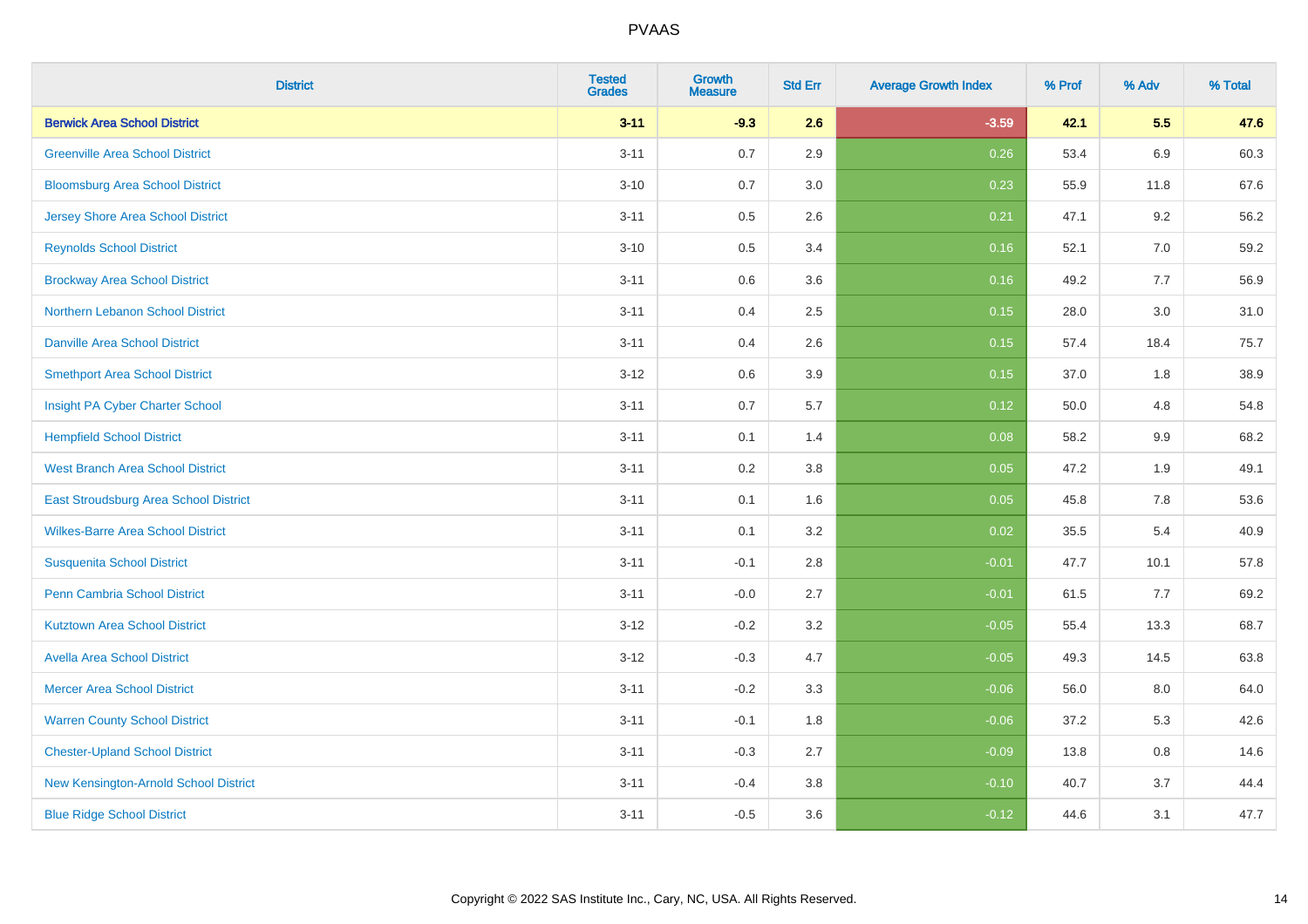| <b>District</b>                          | <b>Tested</b><br><b>Grades</b> | <b>Growth</b><br><b>Measure</b> | <b>Std Err</b> | <b>Average Growth Index</b> | % Prof | % Adv   | % Total |
|------------------------------------------|--------------------------------|---------------------------------|----------------|-----------------------------|--------|---------|---------|
| <b>Berwick Area School District</b>      | $3 - 11$                       | $-9.3$                          | 2.6            | $-3.59$                     | 42.1   | 5.5     | 47.6    |
| <b>Greenville Area School District</b>   | $3 - 11$                       | 0.7                             | 2.9            | 0.26                        | 53.4   | 6.9     | 60.3    |
| <b>Bloomsburg Area School District</b>   | $3 - 10$                       | 0.7                             | 3.0            | 0.23                        | 55.9   | 11.8    | 67.6    |
| <b>Jersey Shore Area School District</b> | $3 - 11$                       | 0.5                             | 2.6            | 0.21                        | 47.1   | 9.2     | 56.2    |
| <b>Reynolds School District</b>          | $3 - 10$                       | 0.5                             | 3.4            | 0.16                        | 52.1   | 7.0     | 59.2    |
| <b>Brockway Area School District</b>     | $3 - 11$                       | 0.6                             | 3.6            | 0.16                        | 49.2   | 7.7     | 56.9    |
| Northern Lebanon School District         | $3 - 11$                       | 0.4                             | 2.5            | 0.15                        | 28.0   | 3.0     | 31.0    |
| <b>Danville Area School District</b>     | $3 - 11$                       | 0.4                             | 2.6            | 0.15                        | 57.4   | 18.4    | 75.7    |
| <b>Smethport Area School District</b>    | $3 - 12$                       | 0.6                             | 3.9            | 0.15                        | 37.0   | 1.8     | 38.9    |
| Insight PA Cyber Charter School          | $3 - 11$                       | 0.7                             | 5.7            | 0.12                        | 50.0   | 4.8     | 54.8    |
| <b>Hempfield School District</b>         | $3 - 11$                       | 0.1                             | 1.4            | 0.08                        | 58.2   | 9.9     | 68.2    |
| <b>West Branch Area School District</b>  | $3 - 11$                       | 0.2                             | 3.8            | 0.05                        | 47.2   | 1.9     | 49.1    |
| East Stroudsburg Area School District    | $3 - 11$                       | 0.1                             | 1.6            | 0.05                        | 45.8   | $7.8\,$ | 53.6    |
| <b>Wilkes-Barre Area School District</b> | $3 - 11$                       | 0.1                             | 3.2            | 0.02                        | 35.5   | 5.4     | 40.9    |
| <b>Susquenita School District</b>        | $3 - 11$                       | $-0.1$                          | 2.8            | $-0.01$                     | 47.7   | 10.1    | 57.8    |
| <b>Penn Cambria School District</b>      | $3 - 11$                       | $-0.0$                          | 2.7            | $-0.01$                     | 61.5   | 7.7     | 69.2    |
| <b>Kutztown Area School District</b>     | $3 - 12$                       | $-0.2$                          | 3.2            | $-0.05$                     | 55.4   | 13.3    | 68.7    |
| <b>Avella Area School District</b>       | $3 - 12$                       | $-0.3$                          | 4.7            | $-0.05$                     | 49.3   | 14.5    | 63.8    |
| <b>Mercer Area School District</b>       | $3 - 11$                       | $-0.2$                          | 3.3            | $-0.06$                     | 56.0   | 8.0     | 64.0    |
| <b>Warren County School District</b>     | $3 - 11$                       | $-0.1$                          | 1.8            | $-0.06$                     | 37.2   | 5.3     | 42.6    |
| <b>Chester-Upland School District</b>    | $3 - 11$                       | $-0.3$                          | 2.7            | $-0.09$                     | 13.8   | 0.8     | 14.6    |
| New Kensington-Arnold School District    | $3 - 11$                       | $-0.4$                          | 3.8            | $-0.10$                     | 40.7   | 3.7     | 44.4    |
| <b>Blue Ridge School District</b>        | $3 - 11$                       | $-0.5$                          | 3.6            | $-0.12$                     | 44.6   | 3.1     | 47.7    |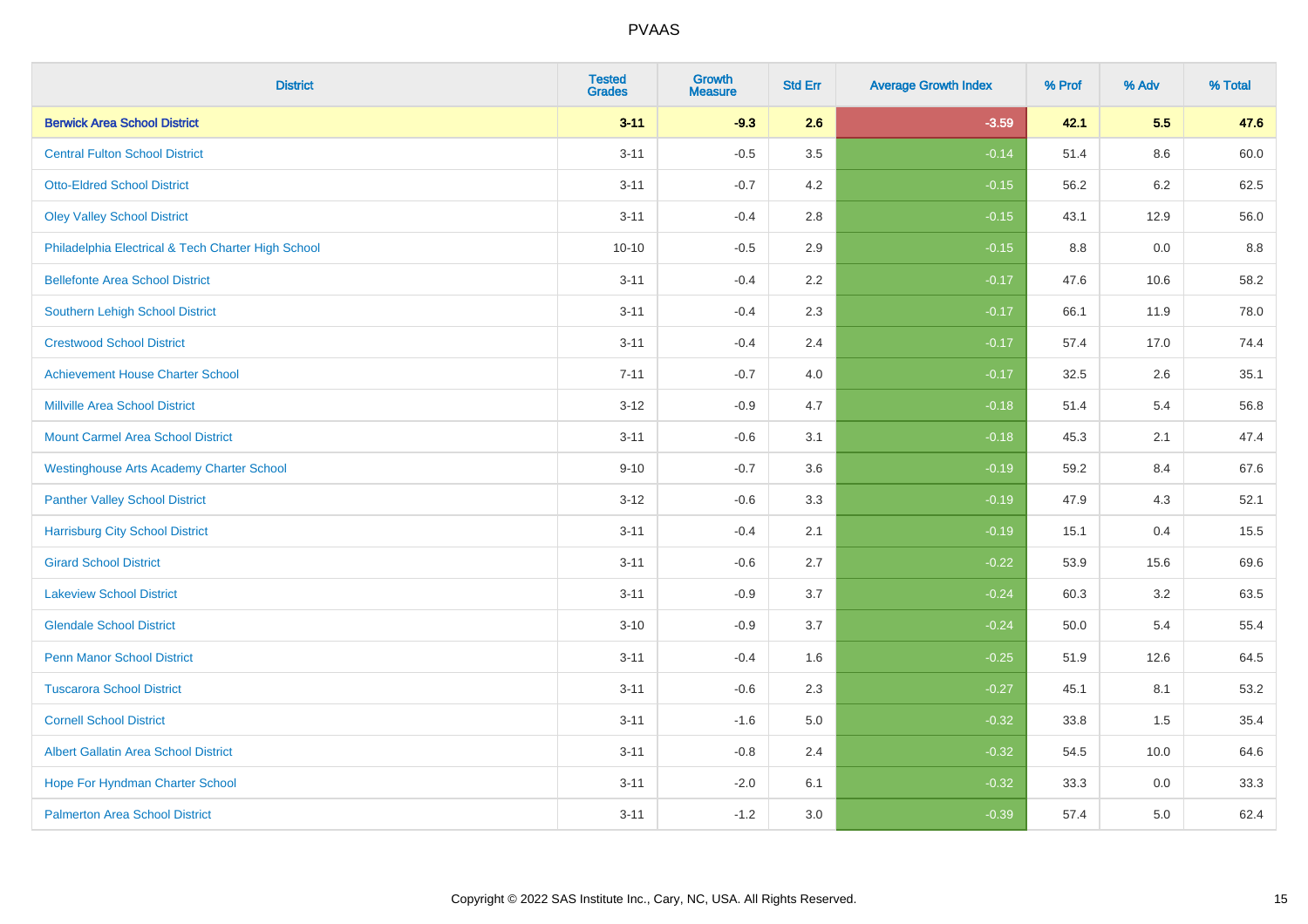| <b>District</b>                                    | <b>Tested</b><br><b>Grades</b> | <b>Growth</b><br><b>Measure</b> | <b>Std Err</b> | <b>Average Growth Index</b> | % Prof | % Adv | % Total |
|----------------------------------------------------|--------------------------------|---------------------------------|----------------|-----------------------------|--------|-------|---------|
| <b>Berwick Area School District</b>                | $3 - 11$                       | $-9.3$                          | 2.6            | $-3.59$                     | 42.1   | 5.5   | 47.6    |
| <b>Central Fulton School District</b>              | $3 - 11$                       | $-0.5$                          | 3.5            | $-0.14$                     | 51.4   | 8.6   | 60.0    |
| <b>Otto-Eldred School District</b>                 | $3 - 11$                       | $-0.7$                          | 4.2            | $-0.15$                     | 56.2   | 6.2   | 62.5    |
| <b>Oley Valley School District</b>                 | $3 - 11$                       | $-0.4$                          | 2.8            | $-0.15$                     | 43.1   | 12.9  | 56.0    |
| Philadelphia Electrical & Tech Charter High School | $10 - 10$                      | $-0.5$                          | 2.9            | $-0.15$                     | 8.8    | 0.0   | 8.8     |
| <b>Bellefonte Area School District</b>             | $3 - 11$                       | $-0.4$                          | 2.2            | $-0.17$                     | 47.6   | 10.6  | 58.2    |
| Southern Lehigh School District                    | $3 - 11$                       | $-0.4$                          | 2.3            | $-0.17$                     | 66.1   | 11.9  | 78.0    |
| <b>Crestwood School District</b>                   | $3 - 11$                       | $-0.4$                          | 2.4            | $-0.17$                     | 57.4   | 17.0  | 74.4    |
| <b>Achievement House Charter School</b>            | $7 - 11$                       | $-0.7$                          | 4.0            | $-0.17$                     | 32.5   | 2.6   | 35.1    |
| <b>Millville Area School District</b>              | $3 - 12$                       | $-0.9$                          | 4.7            | $-0.18$                     | 51.4   | 5.4   | 56.8    |
| <b>Mount Carmel Area School District</b>           | $3 - 11$                       | $-0.6$                          | 3.1            | $-0.18$                     | 45.3   | 2.1   | 47.4    |
| <b>Westinghouse Arts Academy Charter School</b>    | $9 - 10$                       | $-0.7$                          | 3.6            | $-0.19$                     | 59.2   | 8.4   | 67.6    |
| <b>Panther Valley School District</b>              | $3-12$                         | $-0.6$                          | 3.3            | $-0.19$                     | 47.9   | 4.3   | 52.1    |
| <b>Harrisburg City School District</b>             | $3 - 11$                       | $-0.4$                          | 2.1            | $-0.19$                     | 15.1   | 0.4   | 15.5    |
| <b>Girard School District</b>                      | $3 - 11$                       | $-0.6$                          | 2.7            | $-0.22$                     | 53.9   | 15.6  | 69.6    |
| <b>Lakeview School District</b>                    | $3 - 11$                       | $-0.9$                          | 3.7            | $-0.24$                     | 60.3   | 3.2   | 63.5    |
| <b>Glendale School District</b>                    | $3 - 10$                       | $-0.9$                          | 3.7            | $-0.24$                     | 50.0   | 5.4   | 55.4    |
| <b>Penn Manor School District</b>                  | $3 - 11$                       | $-0.4$                          | 1.6            | $-0.25$                     | 51.9   | 12.6  | 64.5    |
| <b>Tuscarora School District</b>                   | $3 - 11$                       | $-0.6$                          | 2.3            | $-0.27$                     | 45.1   | 8.1   | 53.2    |
| <b>Cornell School District</b>                     | $3 - 11$                       | $-1.6$                          | 5.0            | $-0.32$                     | 33.8   | 1.5   | 35.4    |
| <b>Albert Gallatin Area School District</b>        | $3 - 11$                       | $-0.8$                          | 2.4            | $-0.32$                     | 54.5   | 10.0  | 64.6    |
| Hope For Hyndman Charter School                    | $3 - 11$                       | $-2.0$                          | 6.1            | $-0.32$                     | 33.3   | 0.0   | 33.3    |
| <b>Palmerton Area School District</b>              | $3 - 11$                       | $-1.2$                          | 3.0            | $-0.39$                     | 57.4   | 5.0   | 62.4    |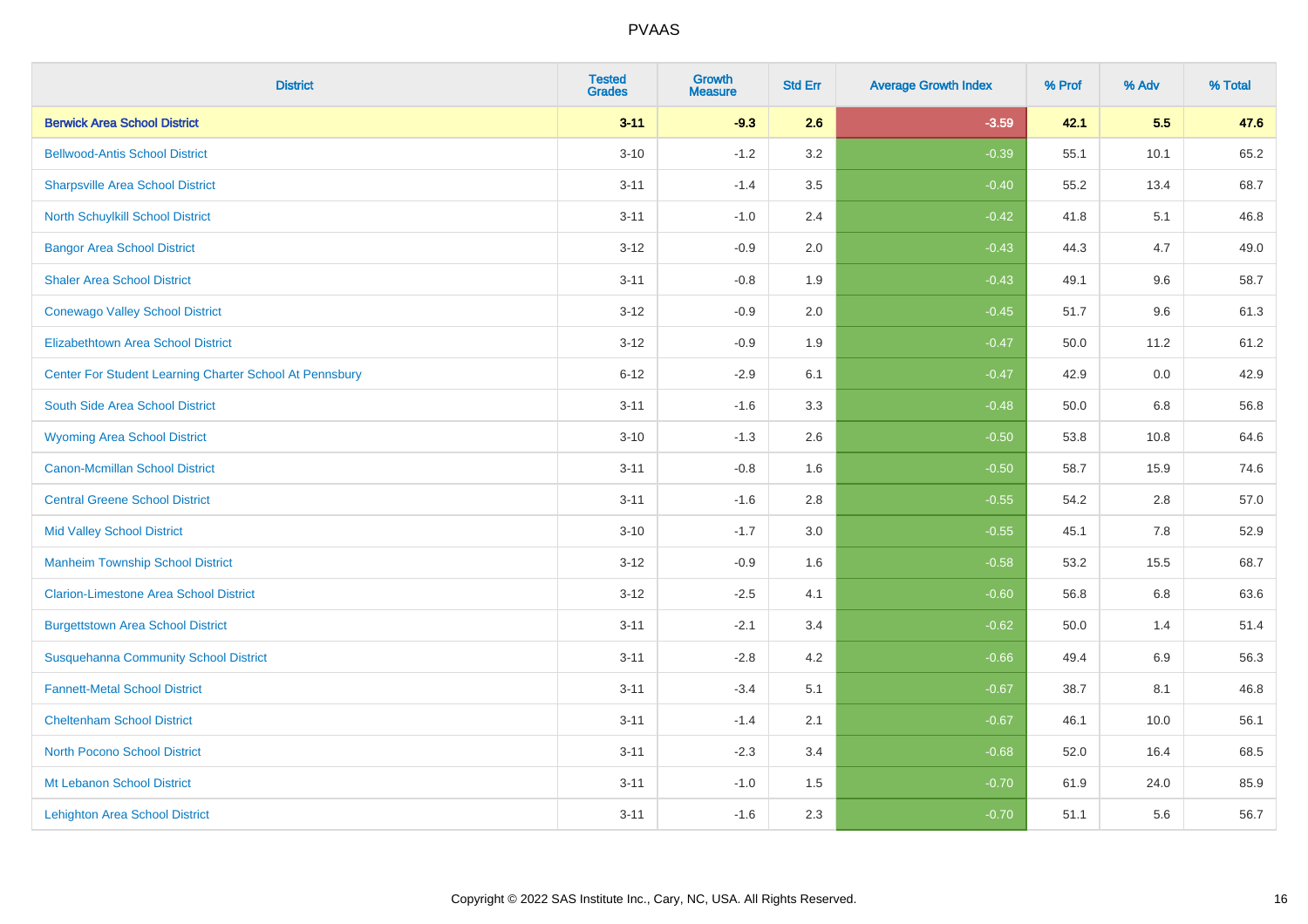| <b>District</b>                                         | <b>Tested</b><br><b>Grades</b> | <b>Growth</b><br><b>Measure</b> | <b>Std Err</b> | <b>Average Growth Index</b> | % Prof | % Adv   | % Total |
|---------------------------------------------------------|--------------------------------|---------------------------------|----------------|-----------------------------|--------|---------|---------|
| <b>Berwick Area School District</b>                     | $3 - 11$                       | $-9.3$                          | 2.6            | $-3.59$                     | 42.1   | 5.5     | 47.6    |
| <b>Bellwood-Antis School District</b>                   | $3 - 10$                       | $-1.2$                          | 3.2            | $-0.39$                     | 55.1   | 10.1    | 65.2    |
| <b>Sharpsville Area School District</b>                 | $3 - 11$                       | $-1.4$                          | 3.5            | $-0.40$                     | 55.2   | 13.4    | 68.7    |
| North Schuylkill School District                        | $3 - 11$                       | $-1.0$                          | 2.4            | $-0.42$                     | 41.8   | 5.1     | 46.8    |
| <b>Bangor Area School District</b>                      | $3 - 12$                       | $-0.9$                          | 2.0            | $-0.43$                     | 44.3   | 4.7     | 49.0    |
| <b>Shaler Area School District</b>                      | $3 - 11$                       | $-0.8$                          | 1.9            | $-0.43$                     | 49.1   | 9.6     | 58.7    |
| <b>Conewago Valley School District</b>                  | $3 - 12$                       | $-0.9$                          | 2.0            | $-0.45$                     | 51.7   | 9.6     | 61.3    |
| <b>Elizabethtown Area School District</b>               | $3 - 12$                       | $-0.9$                          | 1.9            | $-0.47$                     | 50.0   | 11.2    | 61.2    |
| Center For Student Learning Charter School At Pennsbury | $6 - 12$                       | $-2.9$                          | 6.1            | $-0.47$                     | 42.9   | 0.0     | 42.9    |
| South Side Area School District                         | $3 - 11$                       | $-1.6$                          | 3.3            | $-0.48$                     | 50.0   | 6.8     | 56.8    |
| <b>Wyoming Area School District</b>                     | $3 - 10$                       | $-1.3$                          | 2.6            | $-0.50$                     | 53.8   | 10.8    | 64.6    |
| <b>Canon-Mcmillan School District</b>                   | $3 - 11$                       | $-0.8$                          | 1.6            | $-0.50$                     | 58.7   | 15.9    | 74.6    |
| <b>Central Greene School District</b>                   | $3 - 11$                       | $-1.6$                          | 2.8            | $-0.55$                     | 54.2   | $2.8\,$ | 57.0    |
| <b>Mid Valley School District</b>                       | $3 - 10$                       | $-1.7$                          | 3.0            | $-0.55$                     | 45.1   | 7.8     | 52.9    |
| <b>Manheim Township School District</b>                 | $3 - 12$                       | $-0.9$                          | 1.6            | $-0.58$                     | 53.2   | 15.5    | 68.7    |
| <b>Clarion-Limestone Area School District</b>           | $3 - 12$                       | $-2.5$                          | 4.1            | $-0.60$                     | 56.8   | $6.8\,$ | 63.6    |
| <b>Burgettstown Area School District</b>                | $3 - 11$                       | $-2.1$                          | 3.4            | $-0.62$                     | 50.0   | 1.4     | 51.4    |
| <b>Susquehanna Community School District</b>            | $3 - 11$                       | $-2.8$                          | 4.2            | $-0.66$                     | 49.4   | 6.9     | 56.3    |
| <b>Fannett-Metal School District</b>                    | $3 - 11$                       | $-3.4$                          | 5.1            | $-0.67$                     | 38.7   | 8.1     | 46.8    |
| <b>Cheltenham School District</b>                       | $3 - 11$                       | $-1.4$                          | 2.1            | $-0.67$                     | 46.1   | 10.0    | 56.1    |
| <b>North Pocono School District</b>                     | $3 - 11$                       | $-2.3$                          | 3.4            | $-0.68$                     | 52.0   | 16.4    | 68.5    |
| Mt Lebanon School District                              | $3 - 11$                       | $-1.0$                          | 1.5            | $-0.70$                     | 61.9   | 24.0    | 85.9    |
| <b>Lehighton Area School District</b>                   | $3 - 11$                       | $-1.6$                          | 2.3            | $-0.70$                     | 51.1   | 5.6     | 56.7    |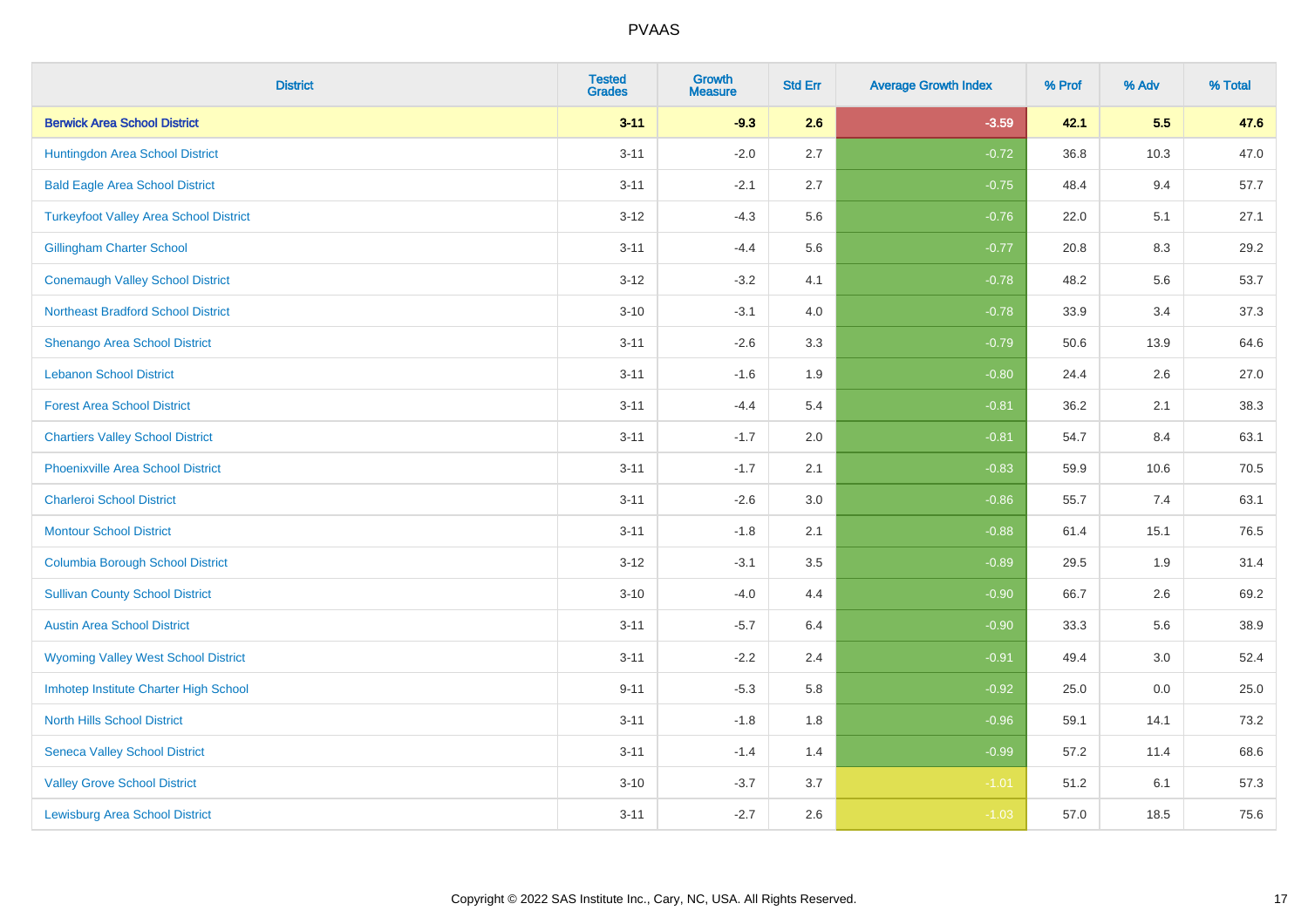| <b>District</b>                               | <b>Tested</b><br><b>Grades</b> | <b>Growth</b><br><b>Measure</b> | <b>Std Err</b> | <b>Average Growth Index</b> | % Prof | % Adv | % Total |
|-----------------------------------------------|--------------------------------|---------------------------------|----------------|-----------------------------|--------|-------|---------|
| <b>Berwick Area School District</b>           | $3 - 11$                       | $-9.3$                          | 2.6            | $-3.59$                     | 42.1   | 5.5   | 47.6    |
| Huntingdon Area School District               | $3 - 11$                       | $-2.0$                          | 2.7            | $-0.72$                     | 36.8   | 10.3  | 47.0    |
| <b>Bald Eagle Area School District</b>        | $3 - 11$                       | $-2.1$                          | 2.7            | $-0.75$                     | 48.4   | 9.4   | 57.7    |
| <b>Turkeyfoot Valley Area School District</b> | $3 - 12$                       | $-4.3$                          | 5.6            | $-0.76$                     | 22.0   | 5.1   | 27.1    |
| <b>Gillingham Charter School</b>              | $3 - 11$                       | $-4.4$                          | 5.6            | $-0.77$                     | 20.8   | 8.3   | 29.2    |
| <b>Conemaugh Valley School District</b>       | $3 - 12$                       | $-3.2$                          | 4.1            | $-0.78$                     | 48.2   | 5.6   | 53.7    |
| <b>Northeast Bradford School District</b>     | $3 - 10$                       | $-3.1$                          | 4.0            | $-0.78$                     | 33.9   | 3.4   | 37.3    |
| <b>Shenango Area School District</b>          | $3 - 11$                       | $-2.6$                          | 3.3            | $-0.79$                     | 50.6   | 13.9  | 64.6    |
| <b>Lebanon School District</b>                | $3 - 11$                       | $-1.6$                          | 1.9            | $-0.80$                     | 24.4   | 2.6   | 27.0    |
| <b>Forest Area School District</b>            | $3 - 11$                       | $-4.4$                          | 5.4            | $-0.81$                     | 36.2   | 2.1   | 38.3    |
| <b>Chartiers Valley School District</b>       | $3 - 11$                       | $-1.7$                          | 2.0            | $-0.81$                     | 54.7   | 8.4   | 63.1    |
| <b>Phoenixville Area School District</b>      | $3 - 11$                       | $-1.7$                          | 2.1            | $-0.83$                     | 59.9   | 10.6  | 70.5    |
| <b>Charleroi School District</b>              | $3 - 11$                       | $-2.6$                          | 3.0            | $-0.86$                     | 55.7   | 7.4   | 63.1    |
| <b>Montour School District</b>                | $3 - 11$                       | $-1.8$                          | 2.1            | $-0.88$                     | 61.4   | 15.1  | 76.5    |
| <b>Columbia Borough School District</b>       | $3 - 12$                       | $-3.1$                          | 3.5            | $-0.89$                     | 29.5   | 1.9   | 31.4    |
| <b>Sullivan County School District</b>        | $3 - 10$                       | $-4.0$                          | 4.4            | $-0.90$                     | 66.7   | 2.6   | 69.2    |
| <b>Austin Area School District</b>            | $3 - 11$                       | $-5.7$                          | 6.4            | $-0.90$                     | 33.3   | 5.6   | 38.9    |
| <b>Wyoming Valley West School District</b>    | $3 - 11$                       | $-2.2$                          | 2.4            | $-0.91$                     | 49.4   | 3.0   | 52.4    |
| Imhotep Institute Charter High School         | $9 - 11$                       | $-5.3$                          | 5.8            | $-0.92$                     | 25.0   | 0.0   | 25.0    |
| <b>North Hills School District</b>            | $3 - 11$                       | $-1.8$                          | 1.8            | $-0.96$                     | 59.1   | 14.1  | 73.2    |
| <b>Seneca Valley School District</b>          | $3 - 11$                       | $-1.4$                          | 1.4            | $-0.99$                     | 57.2   | 11.4  | 68.6    |
| <b>Valley Grove School District</b>           | $3 - 10$                       | $-3.7$                          | 3.7            | $-1.01$                     | 51.2   | 6.1   | 57.3    |
| <b>Lewisburg Area School District</b>         | $3 - 11$                       | $-2.7$                          | 2.6            | $-1.03$                     | 57.0   | 18.5  | 75.6    |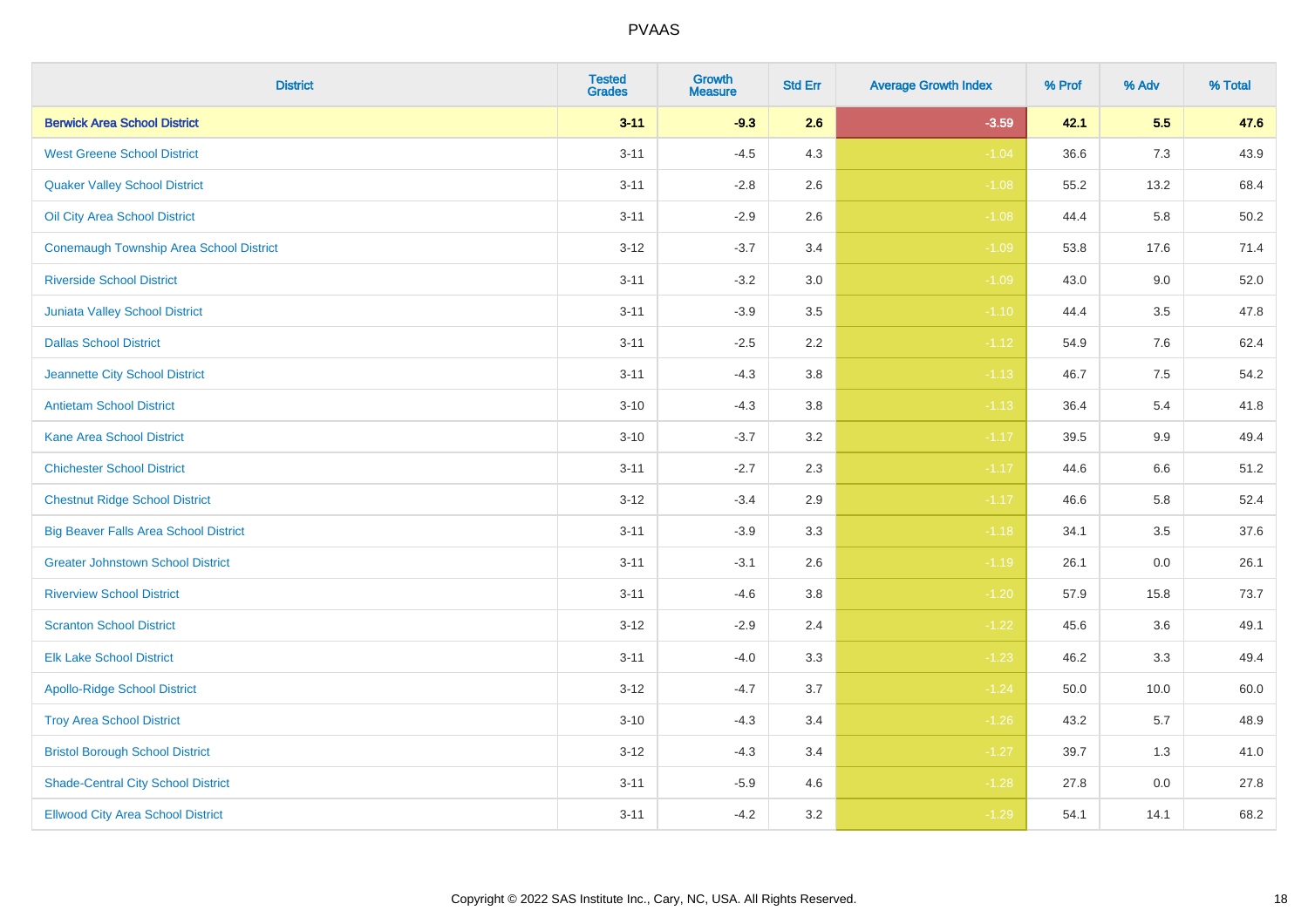| <b>District</b>                              | <b>Tested</b><br><b>Grades</b> | <b>Growth</b><br><b>Measure</b> | <b>Std Err</b> | <b>Average Growth Index</b> | % Prof | % Adv | % Total |
|----------------------------------------------|--------------------------------|---------------------------------|----------------|-----------------------------|--------|-------|---------|
| <b>Berwick Area School District</b>          | $3 - 11$                       | $-9.3$                          | 2.6            | $-3.59$                     | 42.1   | 5.5   | 47.6    |
| <b>West Greene School District</b>           | $3 - 11$                       | $-4.5$                          | 4.3            | $-1.04$                     | 36.6   | 7.3   | 43.9    |
| <b>Quaker Valley School District</b>         | $3 - 11$                       | $-2.8$                          | 2.6            | $-1.08$                     | 55.2   | 13.2  | 68.4    |
| Oil City Area School District                | $3 - 11$                       | $-2.9$                          | 2.6            | $-1.08$                     | 44.4   | 5.8   | 50.2    |
| Conemaugh Township Area School District      | $3 - 12$                       | $-3.7$                          | 3.4            | $-1.09$                     | 53.8   | 17.6  | 71.4    |
| <b>Riverside School District</b>             | $3 - 11$                       | $-3.2$                          | 3.0            | $-1.09$                     | 43.0   | 9.0   | 52.0    |
| Juniata Valley School District               | $3 - 11$                       | $-3.9$                          | 3.5            | $-1.10$                     | 44.4   | 3.5   | 47.8    |
| <b>Dallas School District</b>                | $3 - 11$                       | $-2.5$                          | 2.2            | $-1.12$                     | 54.9   | 7.6   | 62.4    |
| Jeannette City School District               | $3 - 11$                       | $-4.3$                          | 3.8            | $-1.13$                     | 46.7   | 7.5   | 54.2    |
| <b>Antietam School District</b>              | $3 - 10$                       | $-4.3$                          | 3.8            | $-1.13$                     | 36.4   | 5.4   | 41.8    |
| <b>Kane Area School District</b>             | $3 - 10$                       | $-3.7$                          | 3.2            | $-1.17$                     | 39.5   | 9.9   | 49.4    |
| <b>Chichester School District</b>            | $3 - 11$                       | $-2.7$                          | 2.3            | $-1.17$                     | 44.6   | 6.6   | 51.2    |
| <b>Chestnut Ridge School District</b>        | $3 - 12$                       | $-3.4$                          | 2.9            | $-1.17$                     | 46.6   | 5.8   | 52.4    |
| <b>Big Beaver Falls Area School District</b> | $3 - 11$                       | $-3.9$                          | 3.3            | $-1.18$                     | 34.1   | 3.5   | 37.6    |
| <b>Greater Johnstown School District</b>     | $3 - 11$                       | $-3.1$                          | 2.6            | $-1.19$                     | 26.1   | 0.0   | 26.1    |
| <b>Riverview School District</b>             | $3 - 11$                       | $-4.6$                          | 3.8            | $-1.20$                     | 57.9   | 15.8  | 73.7    |
| <b>Scranton School District</b>              | $3 - 12$                       | $-2.9$                          | 2.4            | $-1.22$                     | 45.6   | 3.6   | 49.1    |
| <b>Elk Lake School District</b>              | $3 - 11$                       | $-4.0$                          | 3.3            | $-1.23$                     | 46.2   | 3.3   | 49.4    |
| <b>Apollo-Ridge School District</b>          | $3 - 12$                       | $-4.7$                          | 3.7            | $-1.24$                     | 50.0   | 10.0  | 60.0    |
| <b>Troy Area School District</b>             | $3 - 10$                       | $-4.3$                          | 3.4            | $-1.26$                     | 43.2   | 5.7   | 48.9    |
| <b>Bristol Borough School District</b>       | $3 - 12$                       | $-4.3$                          | 3.4            | $-1.27$                     | 39.7   | 1.3   | 41.0    |
| <b>Shade-Central City School District</b>    | $3 - 11$                       | $-5.9$                          | 4.6            | $-1.28$                     | 27.8   | 0.0   | 27.8    |
| <b>Ellwood City Area School District</b>     | $3 - 11$                       | $-4.2$                          | 3.2            | $-1.29$                     | 54.1   | 14.1  | 68.2    |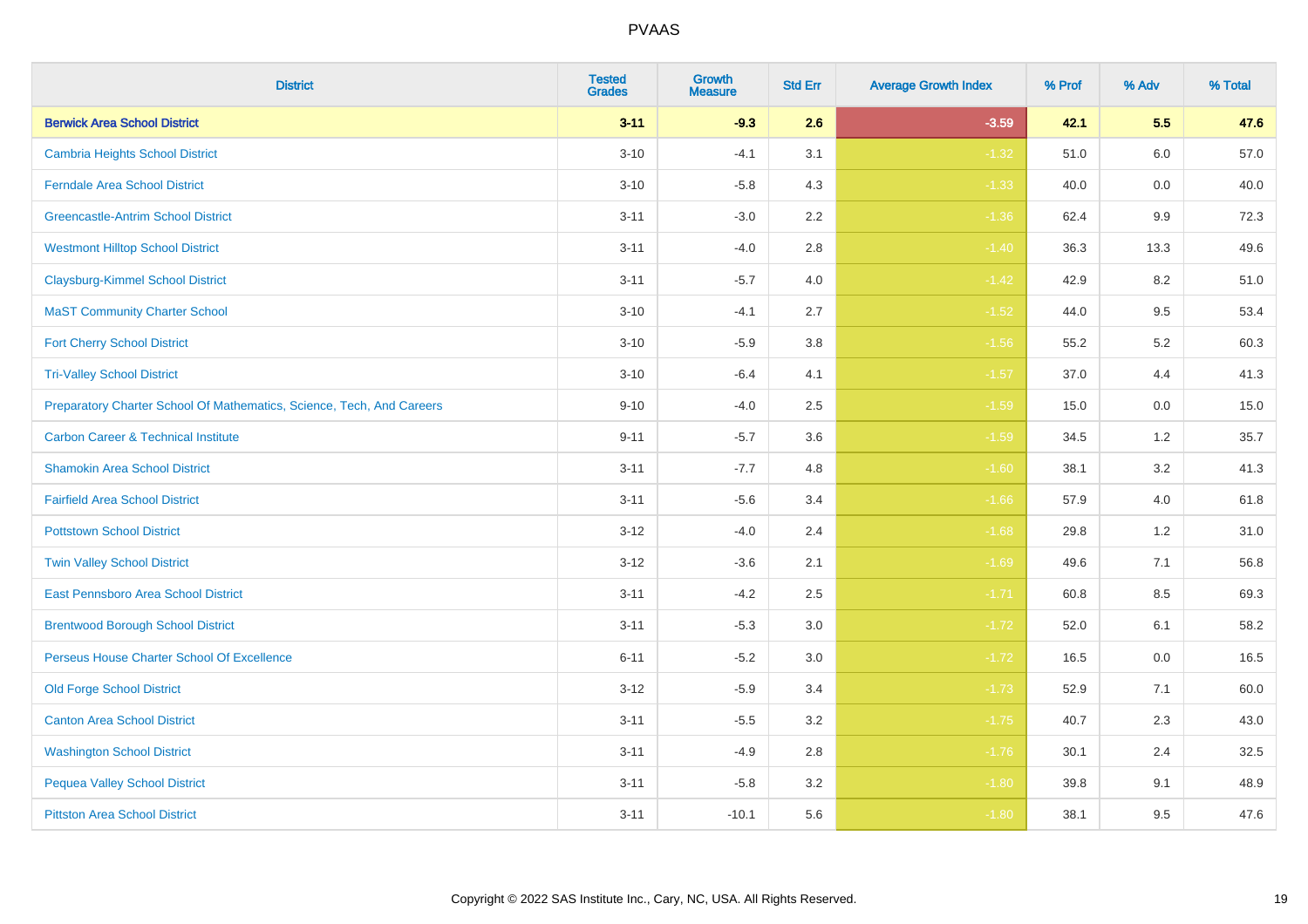| <b>District</b>                                                       | <b>Tested</b><br><b>Grades</b> | Growth<br><b>Measure</b> | <b>Std Err</b> | <b>Average Growth Index</b> | % Prof | % Adv   | % Total |
|-----------------------------------------------------------------------|--------------------------------|--------------------------|----------------|-----------------------------|--------|---------|---------|
| <b>Berwick Area School District</b>                                   | $3 - 11$                       | $-9.3$                   | 2.6            | $-3.59$                     | 42.1   | 5.5     | 47.6    |
| <b>Cambria Heights School District</b>                                | $3 - 10$                       | $-4.1$                   | 3.1            | $-1.32$                     | 51.0   | 6.0     | 57.0    |
| <b>Ferndale Area School District</b>                                  | $3 - 10$                       | $-5.8$                   | 4.3            | $-1.33$                     | 40.0   | 0.0     | 40.0    |
| <b>Greencastle-Antrim School District</b>                             | $3 - 11$                       | $-3.0$                   | $2.2\,$        | $-1.36$                     | 62.4   | 9.9     | 72.3    |
| <b>Westmont Hilltop School District</b>                               | $3 - 11$                       | $-4.0$                   | 2.8            | $-1.40$                     | 36.3   | 13.3    | 49.6    |
| <b>Claysburg-Kimmel School District</b>                               | $3 - 11$                       | $-5.7$                   | 4.0            | $-1.42$                     | 42.9   | 8.2     | 51.0    |
| <b>MaST Community Charter School</b>                                  | $3 - 10$                       | $-4.1$                   | 2.7            | $-1.52$                     | 44.0   | 9.5     | 53.4    |
| <b>Fort Cherry School District</b>                                    | $3 - 10$                       | $-5.9$                   | 3.8            | $-1.56$                     | 55.2   | 5.2     | 60.3    |
| <b>Tri-Valley School District</b>                                     | $3 - 10$                       | $-6.4$                   | 4.1            | $-1.57$                     | 37.0   | 4.4     | 41.3    |
| Preparatory Charter School Of Mathematics, Science, Tech, And Careers | $9 - 10$                       | $-4.0$                   | 2.5            | $-1.59$                     | 15.0   | $0.0\,$ | 15.0    |
| <b>Carbon Career &amp; Technical Institute</b>                        | $9 - 11$                       | $-5.7$                   | 3.6            | $-1.59$                     | 34.5   | 1.2     | 35.7    |
| <b>Shamokin Area School District</b>                                  | $3 - 11$                       | $-7.7$                   | 4.8            | $-1.60$                     | 38.1   | 3.2     | 41.3    |
| <b>Fairfield Area School District</b>                                 | $3 - 11$                       | $-5.6$                   | 3.4            | $-1.66$                     | 57.9   | 4.0     | 61.8    |
| <b>Pottstown School District</b>                                      | $3 - 12$                       | $-4.0$                   | 2.4            | $-1.68$                     | 29.8   | $1.2$   | 31.0    |
| <b>Twin Valley School District</b>                                    | $3 - 12$                       | $-3.6$                   | 2.1            | $-1.69$                     | 49.6   | 7.1     | 56.8    |
| <b>East Pennsboro Area School District</b>                            | $3 - 11$                       | $-4.2$                   | 2.5            | $-1.71$                     | 60.8   | 8.5     | 69.3    |
| <b>Brentwood Borough School District</b>                              | $3 - 11$                       | $-5.3$                   | 3.0            | $-1.72$                     | 52.0   | 6.1     | 58.2    |
| Perseus House Charter School Of Excellence                            | $6 - 11$                       | $-5.2$                   | 3.0            | $-1.72$                     | 16.5   | 0.0     | 16.5    |
| <b>Old Forge School District</b>                                      | $3 - 12$                       | $-5.9$                   | 3.4            | $-1.73$                     | 52.9   | 7.1     | 60.0    |
| <b>Canton Area School District</b>                                    | $3 - 11$                       | $-5.5$                   | 3.2            | $-1.75$                     | 40.7   | 2.3     | 43.0    |
| <b>Washington School District</b>                                     | $3 - 11$                       | $-4.9$                   | 2.8            | $-1.76$                     | 30.1   | 2.4     | 32.5    |
| <b>Pequea Valley School District</b>                                  | $3 - 11$                       | $-5.8$                   | 3.2            | $-1.80$                     | 39.8   | 9.1     | 48.9    |
| <b>Pittston Area School District</b>                                  | $3 - 11$                       | $-10.1$                  | 5.6            | $-1.80$                     | 38.1   | 9.5     | 47.6    |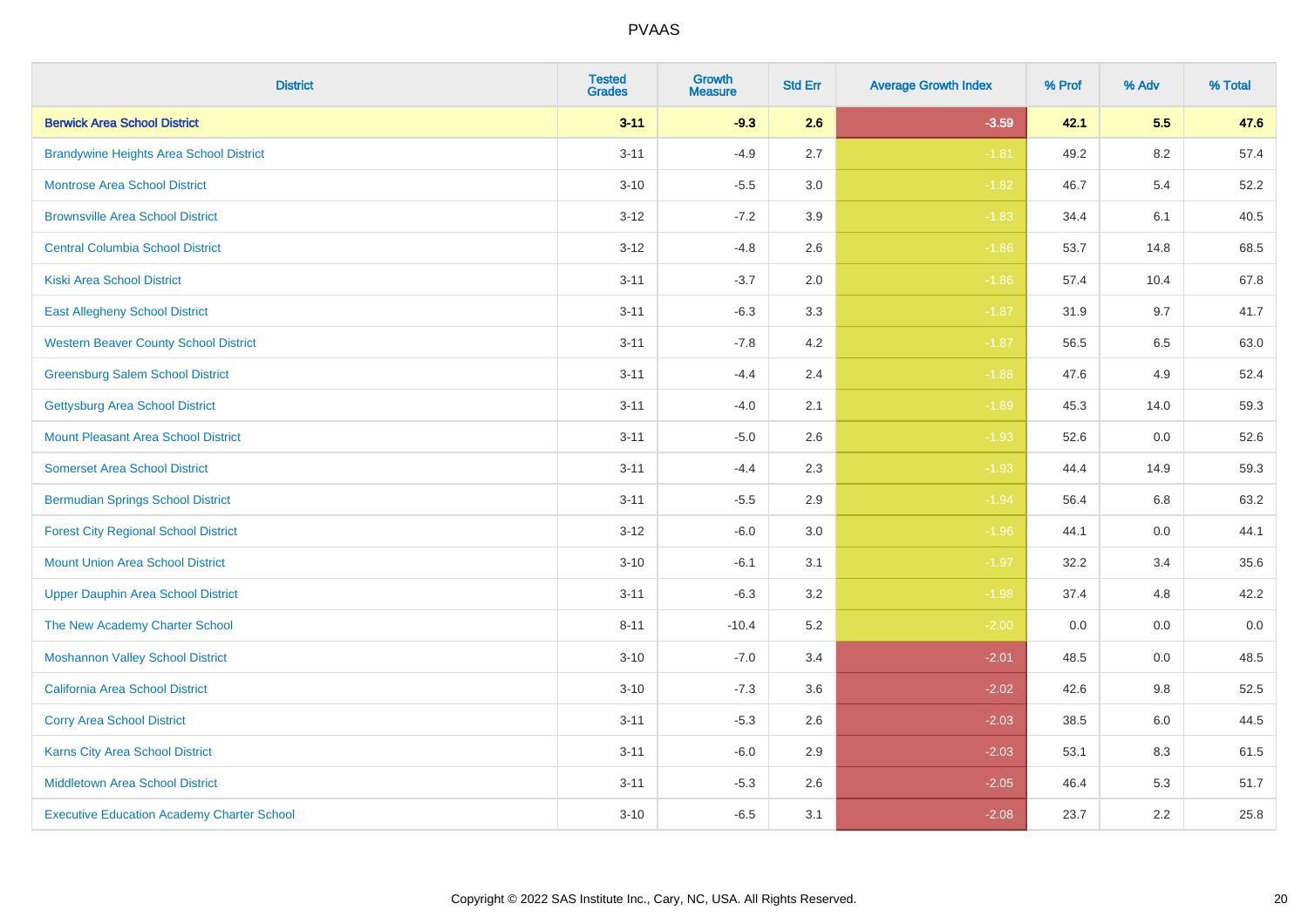| <b>District</b>                                   | <b>Tested</b><br><b>Grades</b> | Growth<br><b>Measure</b> | <b>Std Err</b> | <b>Average Growth Index</b> | % Prof | % Adv   | % Total |
|---------------------------------------------------|--------------------------------|--------------------------|----------------|-----------------------------|--------|---------|---------|
| <b>Berwick Area School District</b>               | $3 - 11$                       | $-9.3$                   | 2.6            | $-3.59$                     | 42.1   | 5.5     | 47.6    |
| <b>Brandywine Heights Area School District</b>    | $3 - 11$                       | $-4.9$                   | 2.7            | $-1.81$                     | 49.2   | 8.2     | 57.4    |
| <b>Montrose Area School District</b>              | $3 - 10$                       | $-5.5$                   | 3.0            | $-1.82$                     | 46.7   | 5.4     | 52.2    |
| <b>Brownsville Area School District</b>           | $3 - 12$                       | $-7.2$                   | 3.9            | $-1.83$                     | 34.4   | 6.1     | 40.5    |
| <b>Central Columbia School District</b>           | $3 - 12$                       | $-4.8$                   | 2.6            | $-1.86$                     | 53.7   | 14.8    | 68.5    |
| <b>Kiski Area School District</b>                 | $3 - 11$                       | $-3.7$                   | 2.0            | $-1.86$                     | 57.4   | 10.4    | 67.8    |
| <b>East Allegheny School District</b>             | $3 - 11$                       | $-6.3$                   | 3.3            | $-1.87$                     | 31.9   | 9.7     | 41.7    |
| <b>Western Beaver County School District</b>      | $3 - 11$                       | $-7.8$                   | 4.2            | $-1.87$                     | 56.5   | 6.5     | 63.0    |
| <b>Greensburg Salem School District</b>           | $3 - 11$                       | $-4.4$                   | 2.4            | $-1.88$                     | 47.6   | 4.9     | 52.4    |
| <b>Gettysburg Area School District</b>            | $3 - 11$                       | $-4.0$                   | 2.1            | $-1.89$                     | 45.3   | 14.0    | 59.3    |
| <b>Mount Pleasant Area School District</b>        | $3 - 11$                       | $-5.0$                   | 2.6            | $-1.93$                     | 52.6   | 0.0     | 52.6    |
| <b>Somerset Area School District</b>              | $3 - 11$                       | $-4.4$                   | 2.3            | $-1.93$                     | 44.4   | 14.9    | 59.3    |
| <b>Bermudian Springs School District</b>          | $3 - 11$                       | $-5.5$                   | 2.9            | $-1.94$                     | 56.4   | $6.8\,$ | 63.2    |
| <b>Forest City Regional School District</b>       | $3 - 12$                       | $-6.0$                   | 3.0            | $-1.96$                     | 44.1   | 0.0     | 44.1    |
| <b>Mount Union Area School District</b>           | $3 - 10$                       | $-6.1$                   | 3.1            | $-1.97$                     | 32.2   | 3.4     | 35.6    |
| <b>Upper Dauphin Area School District</b>         | $3 - 11$                       | $-6.3$                   | 3.2            | $-1.98$                     | 37.4   | 4.8     | 42.2    |
| The New Academy Charter School                    | $8 - 11$                       | $-10.4$                  | 5.2            | $-2.00$                     | 0.0    | 0.0     | $0.0\,$ |
| <b>Moshannon Valley School District</b>           | $3 - 10$                       | $-7.0$                   | 3.4            | $-2.01$                     | 48.5   | 0.0     | 48.5    |
| <b>California Area School District</b>            | $3 - 10$                       | $-7.3$                   | 3.6            | $-2.02$                     | 42.6   | 9.8     | 52.5    |
| <b>Corry Area School District</b>                 | $3 - 11$                       | $-5.3$                   | 2.6            | $-2.03$                     | 38.5   | 6.0     | 44.5    |
| <b>Karns City Area School District</b>            | $3 - 11$                       | $-6.0$                   | 2.9            | $-2.03$                     | 53.1   | 8.3     | 61.5    |
| <b>Middletown Area School District</b>            | $3 - 11$                       | $-5.3$                   | 2.6            | $-2.05$                     | 46.4   | 5.3     | 51.7    |
| <b>Executive Education Academy Charter School</b> | $3 - 10$                       | $-6.5$                   | 3.1            | $-2.08$                     | 23.7   | 2.2     | 25.8    |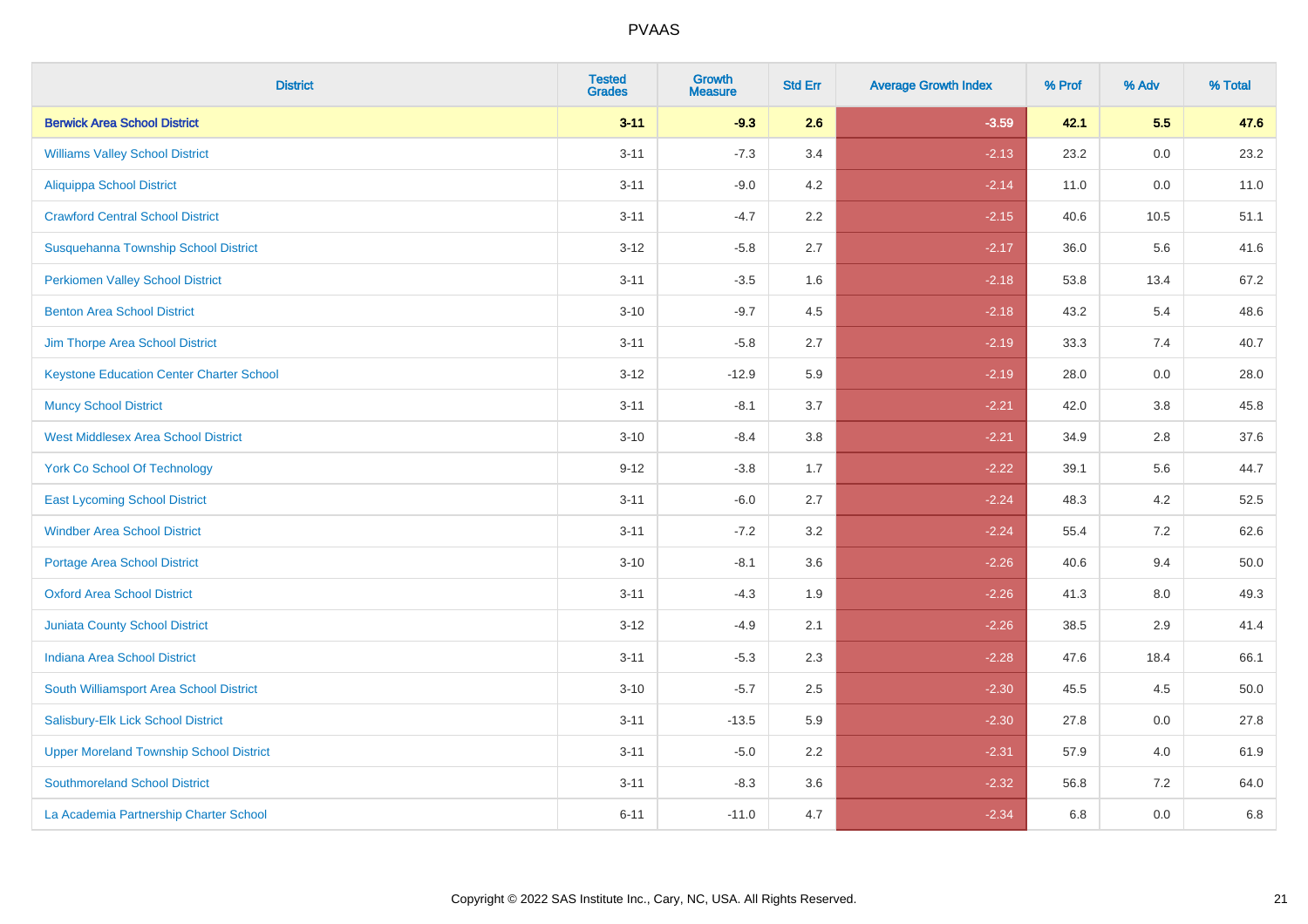| <b>District</b>                                 | <b>Tested</b><br><b>Grades</b> | Growth<br><b>Measure</b> | <b>Std Err</b> | <b>Average Growth Index</b> | % Prof | % Adv   | % Total  |
|-------------------------------------------------|--------------------------------|--------------------------|----------------|-----------------------------|--------|---------|----------|
| <b>Berwick Area School District</b>             | $3 - 11$                       | $-9.3$                   | 2.6            | $-3.59$                     | 42.1   | 5.5     | 47.6     |
| <b>Williams Valley School District</b>          | $3 - 11$                       | $-7.3$                   | 3.4            | $-2.13$                     | 23.2   | 0.0     | 23.2     |
| <b>Aliquippa School District</b>                | $3 - 11$                       | $-9.0$                   | 4.2            | $-2.14$                     | 11.0   | 0.0     | 11.0     |
| <b>Crawford Central School District</b>         | $3 - 11$                       | $-4.7$                   | $2.2\,$        | $-2.15$                     | 40.6   | 10.5    | 51.1     |
| Susquehanna Township School District            | $3 - 12$                       | $-5.8$                   | 2.7            | $-2.17$                     | 36.0   | 5.6     | 41.6     |
| <b>Perkiomen Valley School District</b>         | $3 - 11$                       | $-3.5$                   | 1.6            | $-2.18$                     | 53.8   | 13.4    | 67.2     |
| <b>Benton Area School District</b>              | $3 - 10$                       | $-9.7$                   | 4.5            | $-2.18$                     | 43.2   | 5.4     | 48.6     |
| Jim Thorpe Area School District                 | $3 - 11$                       | $-5.8$                   | 2.7            | $-2.19$                     | 33.3   | 7.4     | 40.7     |
| <b>Keystone Education Center Charter School</b> | $3 - 12$                       | $-12.9$                  | 5.9            | $-2.19$                     | 28.0   | 0.0     | 28.0     |
| <b>Muncy School District</b>                    | $3 - 11$                       | $-8.1$                   | 3.7            | $-2.21$                     | 42.0   | $3.8\,$ | 45.8     |
| <b>West Middlesex Area School District</b>      | $3 - 10$                       | $-8.4$                   | 3.8            | $-2.21$                     | 34.9   | 2.8     | 37.6     |
| <b>York Co School Of Technology</b>             | $9 - 12$                       | $-3.8$                   | 1.7            | $-2.22$                     | 39.1   | 5.6     | 44.7     |
| <b>East Lycoming School District</b>            | $3 - 11$                       | $-6.0$                   | 2.7            | $-2.24$                     | 48.3   | 4.2     | 52.5     |
| <b>Windber Area School District</b>             | $3 - 11$                       | $-7.2$                   | 3.2            | $-2.24$                     | 55.4   | 7.2     | 62.6     |
| <b>Portage Area School District</b>             | $3 - 10$                       | $-8.1$                   | 3.6            | $-2.26$                     | 40.6   | 9.4     | $50.0\,$ |
| <b>Oxford Area School District</b>              | $3 - 11$                       | $-4.3$                   | 1.9            | $-2.26$                     | 41.3   | 8.0     | 49.3     |
| <b>Juniata County School District</b>           | $3 - 12$                       | $-4.9$                   | 2.1            | $-2.26$                     | 38.5   | 2.9     | 41.4     |
| Indiana Area School District                    | $3 - 11$                       | $-5.3$                   | 2.3            | $-2.28$                     | 47.6   | 18.4    | 66.1     |
| South Williamsport Area School District         | $3 - 10$                       | $-5.7$                   | 2.5            | $-2.30$                     | 45.5   | 4.5     | 50.0     |
| Salisbury-Elk Lick School District              | $3 - 11$                       | $-13.5$                  | 5.9            | $-2.30$                     | 27.8   | 0.0     | 27.8     |
| <b>Upper Moreland Township School District</b>  | $3 - 11$                       | $-5.0$                   | 2.2            | $-2.31$                     | 57.9   | 4.0     | 61.9     |
| <b>Southmoreland School District</b>            | $3 - 11$                       | $-8.3$                   | 3.6            | $-2.32$                     | 56.8   | 7.2     | 64.0     |
| La Academia Partnership Charter School          | $6 - 11$                       | $-11.0$                  | 4.7            | $-2.34$                     | 6.8    | 0.0     | 6.8      |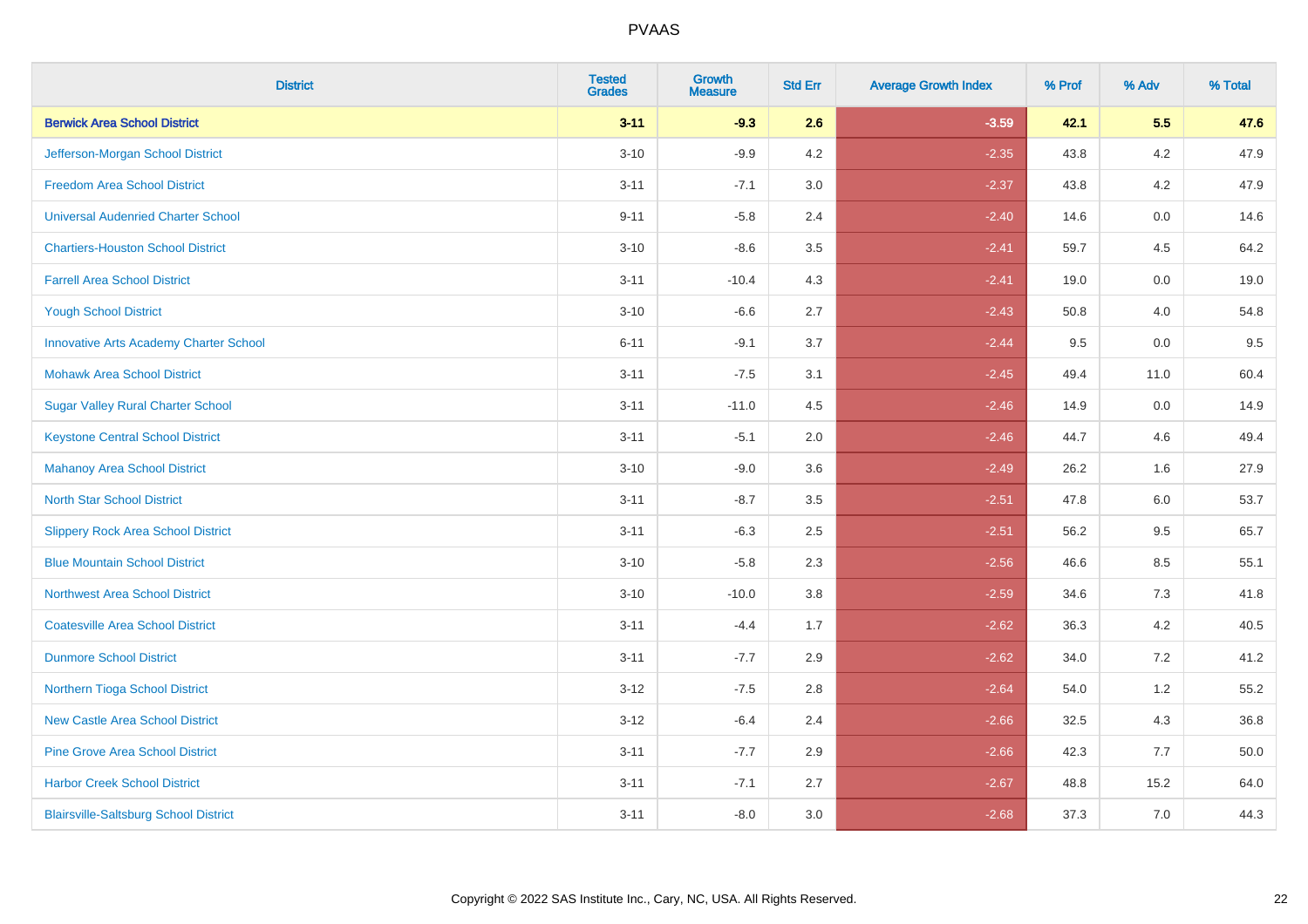| <b>District</b>                               | <b>Tested</b><br><b>Grades</b> | <b>Growth</b><br><b>Measure</b> | <b>Std Err</b> | <b>Average Growth Index</b> | % Prof | % Adv   | % Total |
|-----------------------------------------------|--------------------------------|---------------------------------|----------------|-----------------------------|--------|---------|---------|
| <b>Berwick Area School District</b>           | $3 - 11$                       | $-9.3$                          | 2.6            | $-3.59$                     | 42.1   | 5.5     | 47.6    |
| Jefferson-Morgan School District              | $3 - 10$                       | $-9.9$                          | 4.2            | $-2.35$                     | 43.8   | $4.2\,$ | 47.9    |
| <b>Freedom Area School District</b>           | $3 - 11$                       | $-7.1$                          | 3.0            | $-2.37$                     | 43.8   | 4.2     | 47.9    |
| <b>Universal Audenried Charter School</b>     | $9 - 11$                       | $-5.8$                          | 2.4            | $-2.40$                     | 14.6   | 0.0     | 14.6    |
| <b>Chartiers-Houston School District</b>      | $3 - 10$                       | $-8.6$                          | 3.5            | $-2.41$                     | 59.7   | 4.5     | 64.2    |
| <b>Farrell Area School District</b>           | $3 - 11$                       | $-10.4$                         | 4.3            | $-2.41$                     | 19.0   | 0.0     | 19.0    |
| <b>Yough School District</b>                  | $3 - 10$                       | $-6.6$                          | 2.7            | $-2.43$                     | 50.8   | 4.0     | 54.8    |
| <b>Innovative Arts Academy Charter School</b> | $6 - 11$                       | $-9.1$                          | 3.7            | $-2.44$                     | 9.5    | 0.0     | 9.5     |
| <b>Mohawk Area School District</b>            | $3 - 11$                       | $-7.5$                          | 3.1            | $-2.45$                     | 49.4   | 11.0    | 60.4    |
| <b>Sugar Valley Rural Charter School</b>      | $3 - 11$                       | $-11.0$                         | 4.5            | $-2.46$                     | 14.9   | 0.0     | 14.9    |
| <b>Keystone Central School District</b>       | $3 - 11$                       | $-5.1$                          | 2.0            | $-2.46$                     | 44.7   | 4.6     | 49.4    |
| <b>Mahanoy Area School District</b>           | $3 - 10$                       | $-9.0$                          | 3.6            | $-2.49$                     | 26.2   | 1.6     | 27.9    |
| <b>North Star School District</b>             | $3 - 11$                       | $-8.7$                          | 3.5            | $-2.51$                     | 47.8   | 6.0     | 53.7    |
| <b>Slippery Rock Area School District</b>     | $3 - 11$                       | $-6.3$                          | 2.5            | $-2.51$                     | 56.2   | 9.5     | 65.7    |
| <b>Blue Mountain School District</b>          | $3 - 10$                       | $-5.8$                          | 2.3            | $-2.56$                     | 46.6   | 8.5     | 55.1    |
| <b>Northwest Area School District</b>         | $3 - 10$                       | $-10.0$                         | 3.8            | $-2.59$                     | 34.6   | 7.3     | 41.8    |
| <b>Coatesville Area School District</b>       | $3 - 11$                       | $-4.4$                          | 1.7            | $-2.62$                     | 36.3   | 4.2     | 40.5    |
| <b>Dunmore School District</b>                | $3 - 11$                       | $-7.7$                          | 2.9            | $-2.62$                     | 34.0   | 7.2     | 41.2    |
| Northern Tioga School District                | $3 - 12$                       | $-7.5$                          | 2.8            | $-2.64$                     | 54.0   | 1.2     | 55.2    |
| <b>New Castle Area School District</b>        | $3 - 12$                       | $-6.4$                          | 2.4            | $-2.66$                     | 32.5   | 4.3     | 36.8    |
| <b>Pine Grove Area School District</b>        | $3 - 11$                       | $-7.7$                          | 2.9            | $-2.66$                     | 42.3   | 7.7     | 50.0    |
| <b>Harbor Creek School District</b>           | $3 - 11$                       | $-7.1$                          | 2.7            | $-2.67$                     | 48.8   | 15.2    | 64.0    |
| <b>Blairsville-Saltsburg School District</b>  | $3 - 11$                       | $-8.0$                          | 3.0            | $-2.68$                     | 37.3   | 7.0     | 44.3    |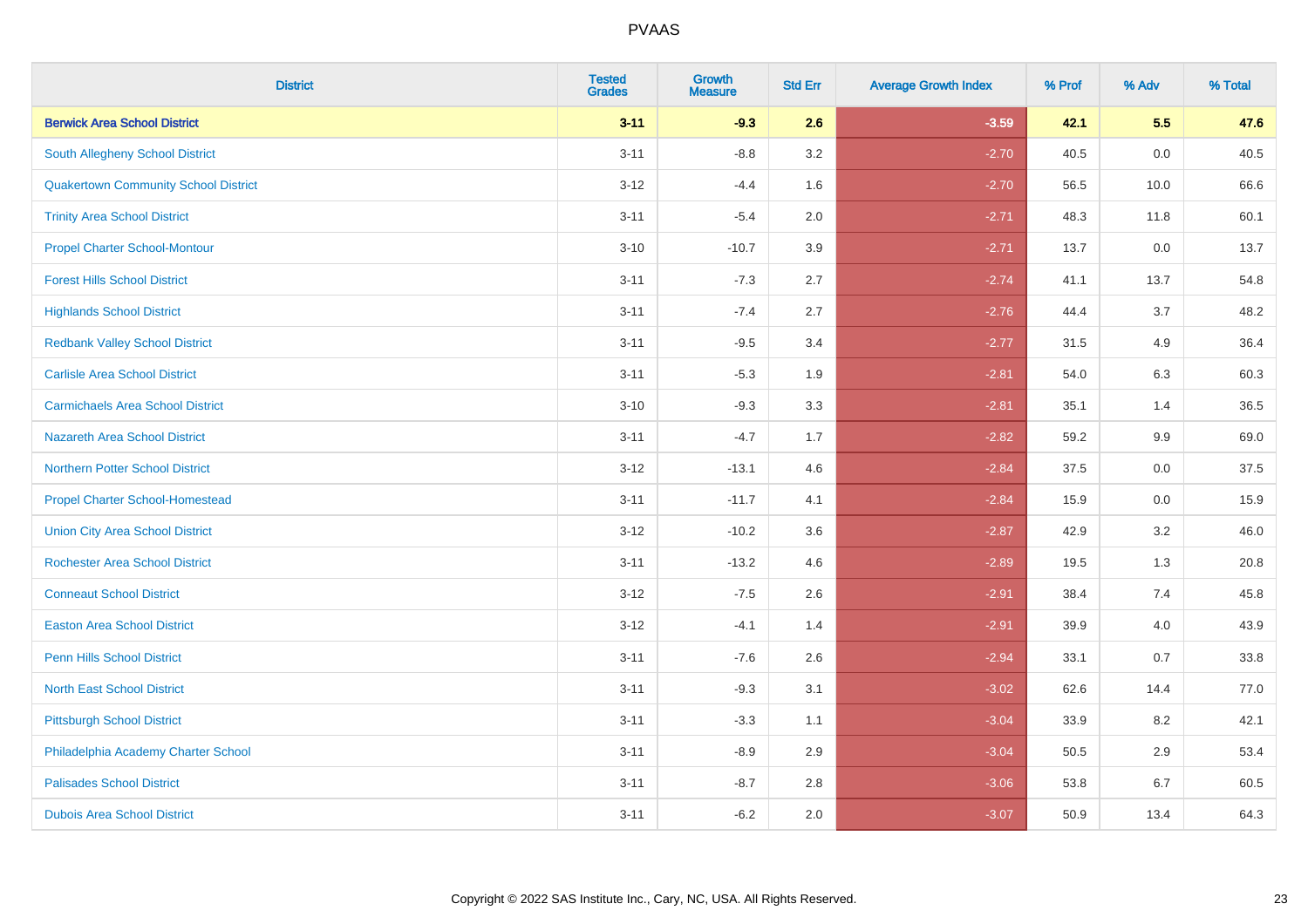| <b>District</b>                             | <b>Tested</b><br><b>Grades</b> | <b>Growth</b><br><b>Measure</b> | <b>Std Err</b> | <b>Average Growth Index</b> | % Prof | % Adv | % Total |
|---------------------------------------------|--------------------------------|---------------------------------|----------------|-----------------------------|--------|-------|---------|
| <b>Berwick Area School District</b>         | $3 - 11$                       | $-9.3$                          | 2.6            | $-3.59$                     | 42.1   | 5.5   | 47.6    |
| South Allegheny School District             | $3 - 11$                       | $-8.8$                          | 3.2            | $-2.70$                     | 40.5   | 0.0   | 40.5    |
| <b>Quakertown Community School District</b> | $3 - 12$                       | $-4.4$                          | 1.6            | $-2.70$                     | 56.5   | 10.0  | 66.6    |
| <b>Trinity Area School District</b>         | $3 - 11$                       | $-5.4$                          | 2.0            | $-2.71$                     | 48.3   | 11.8  | 60.1    |
| <b>Propel Charter School-Montour</b>        | $3 - 10$                       | $-10.7$                         | 3.9            | $-2.71$                     | 13.7   | 0.0   | 13.7    |
| <b>Forest Hills School District</b>         | $3 - 11$                       | $-7.3$                          | 2.7            | $-2.74$                     | 41.1   | 13.7  | 54.8    |
| <b>Highlands School District</b>            | $3 - 11$                       | $-7.4$                          | 2.7            | $-2.76$                     | 44.4   | 3.7   | 48.2    |
| <b>Redbank Valley School District</b>       | $3 - 11$                       | $-9.5$                          | 3.4            | $-2.77$                     | 31.5   | 4.9   | 36.4    |
| <b>Carlisle Area School District</b>        | $3 - 11$                       | $-5.3$                          | 1.9            | $-2.81$                     | 54.0   | 6.3   | 60.3    |
| <b>Carmichaels Area School District</b>     | $3 - 10$                       | $-9.3$                          | 3.3            | $-2.81$                     | 35.1   | 1.4   | 36.5    |
| <b>Nazareth Area School District</b>        | $3 - 11$                       | $-4.7$                          | 1.7            | $-2.82$                     | 59.2   | 9.9   | 69.0    |
| <b>Northern Potter School District</b>      | $3-12$                         | $-13.1$                         | 4.6            | $-2.84$                     | 37.5   | 0.0   | 37.5    |
| <b>Propel Charter School-Homestead</b>      | $3 - 11$                       | $-11.7$                         | 4.1            | $-2.84$                     | 15.9   | 0.0   | 15.9    |
| <b>Union City Area School District</b>      | $3 - 12$                       | $-10.2$                         | 3.6            | $-2.87$                     | 42.9   | 3.2   | 46.0    |
| <b>Rochester Area School District</b>       | $3 - 11$                       | $-13.2$                         | 4.6            | $-2.89$                     | 19.5   | 1.3   | 20.8    |
| <b>Conneaut School District</b>             | $3 - 12$                       | $-7.5$                          | 2.6            | $-2.91$                     | 38.4   | 7.4   | 45.8    |
| <b>Easton Area School District</b>          | $3 - 12$                       | $-4.1$                          | 1.4            | $-2.91$                     | 39.9   | 4.0   | 43.9    |
| <b>Penn Hills School District</b>           | $3 - 11$                       | $-7.6$                          | 2.6            | $-2.94$                     | 33.1   | 0.7   | 33.8    |
| <b>North East School District</b>           | $3 - 11$                       | $-9.3$                          | 3.1            | $-3.02$                     | 62.6   | 14.4  | 77.0    |
| <b>Pittsburgh School District</b>           | $3 - 11$                       | $-3.3$                          | 1.1            | $-3.04$                     | 33.9   | 8.2   | 42.1    |
| Philadelphia Academy Charter School         | $3 - 11$                       | $-8.9$                          | 2.9            | $-3.04$                     | 50.5   | 2.9   | 53.4    |
| <b>Palisades School District</b>            | $3 - 11$                       | $-8.7$                          | 2.8            | $-3.06$                     | 53.8   | 6.7   | 60.5    |
| <b>Dubois Area School District</b>          | $3 - 11$                       | $-6.2$                          | 2.0            | $-3.07$                     | 50.9   | 13.4  | 64.3    |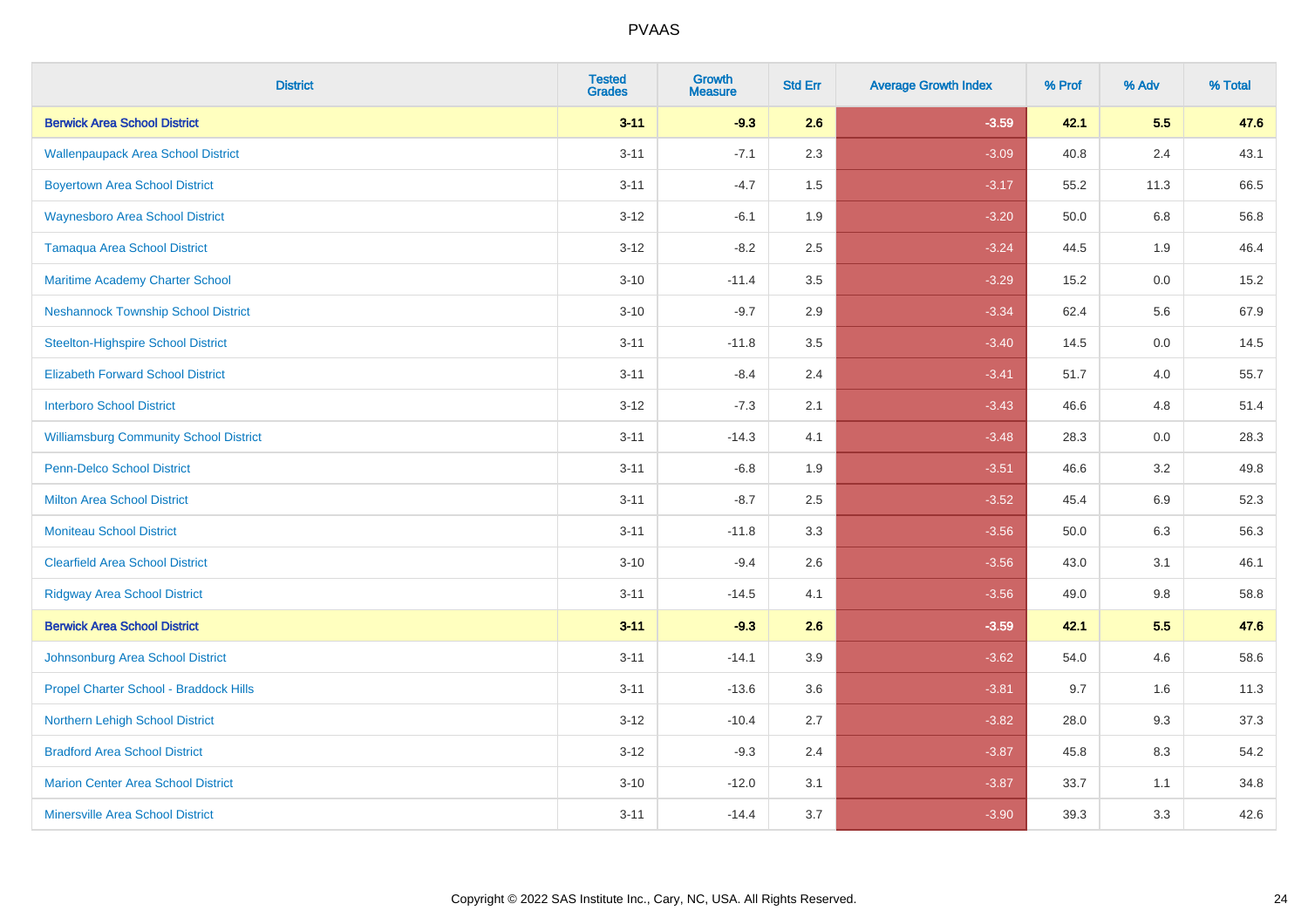| <b>District</b>                               | <b>Tested</b><br><b>Grades</b> | Growth<br><b>Measure</b> | <b>Std Err</b> | <b>Average Growth Index</b> | % Prof | % Adv   | % Total |
|-----------------------------------------------|--------------------------------|--------------------------|----------------|-----------------------------|--------|---------|---------|
| <b>Berwick Area School District</b>           | $3 - 11$                       | $-9.3$                   | 2.6            | $-3.59$                     | 42.1   | 5.5     | 47.6    |
| <b>Wallenpaupack Area School District</b>     | $3 - 11$                       | $-7.1$                   | 2.3            | $-3.09$                     | 40.8   | 2.4     | 43.1    |
| <b>Boyertown Area School District</b>         | $3 - 11$                       | $-4.7$                   | 1.5            | $-3.17$                     | 55.2   | 11.3    | 66.5    |
| <b>Waynesboro Area School District</b>        | $3 - 12$                       | $-6.1$                   | 1.9            | $-3.20$                     | 50.0   | $6.8\,$ | 56.8    |
| <b>Tamaqua Area School District</b>           | $3 - 12$                       | $-8.2$                   | 2.5            | $-3.24$                     | 44.5   | 1.9     | 46.4    |
| Maritime Academy Charter School               | $3 - 10$                       | $-11.4$                  | 3.5            | $-3.29$                     | 15.2   | 0.0     | 15.2    |
| <b>Neshannock Township School District</b>    | $3 - 10$                       | $-9.7$                   | 2.9            | $-3.34$                     | 62.4   | 5.6     | 67.9    |
| <b>Steelton-Highspire School District</b>     | $3 - 11$                       | $-11.8$                  | 3.5            | $-3.40$                     | 14.5   | 0.0     | 14.5    |
| <b>Elizabeth Forward School District</b>      | $3 - 11$                       | $-8.4$                   | 2.4            | $-3.41$                     | 51.7   | 4.0     | 55.7    |
| <b>Interboro School District</b>              | $3 - 12$                       | $-7.3$                   | 2.1            | $-3.43$                     | 46.6   | 4.8     | 51.4    |
| <b>Williamsburg Community School District</b> | $3 - 11$                       | $-14.3$                  | 4.1            | $-3.48$                     | 28.3   | 0.0     | 28.3    |
| <b>Penn-Delco School District</b>             | $3 - 11$                       | $-6.8$                   | 1.9            | $-3.51$                     | 46.6   | 3.2     | 49.8    |
| <b>Milton Area School District</b>            | $3 - 11$                       | $-8.7$                   | 2.5            | $-3.52$                     | 45.4   | $6.9\,$ | 52.3    |
| <b>Moniteau School District</b>               | $3 - 11$                       | $-11.8$                  | 3.3            | $-3.56$                     | 50.0   | 6.3     | 56.3    |
| <b>Clearfield Area School District</b>        | $3 - 10$                       | $-9.4$                   | 2.6            | $-3.56$                     | 43.0   | 3.1     | 46.1    |
| <b>Ridgway Area School District</b>           | $3 - 11$                       | $-14.5$                  | 4.1            | $-3.56$                     | 49.0   | 9.8     | 58.8    |
| <b>Berwick Area School District</b>           | $3 - 11$                       | $-9.3$                   | 2.6            | $-3.59$                     | 42.1   | 5.5     | 47.6    |
| Johnsonburg Area School District              | $3 - 11$                       | $-14.1$                  | 3.9            | $-3.62$                     | 54.0   | 4.6     | 58.6    |
| Propel Charter School - Braddock Hills        | $3 - 11$                       | $-13.6$                  | 3.6            | $-3.81$                     | 9.7    | 1.6     | 11.3    |
| Northern Lehigh School District               | $3 - 12$                       | $-10.4$                  | 2.7            | $-3.82$                     | 28.0   | 9.3     | 37.3    |
| <b>Bradford Area School District</b>          | $3 - 12$                       | $-9.3$                   | 2.4            | $-3.87$                     | 45.8   | 8.3     | 54.2    |
| <b>Marion Center Area School District</b>     | $3 - 10$                       | $-12.0$                  | 3.1            | $-3.87$                     | 33.7   | 1.1     | 34.8    |
| <b>Minersville Area School District</b>       | $3 - 11$                       | $-14.4$                  | 3.7            | $-3.90$                     | 39.3   | 3.3     | 42.6    |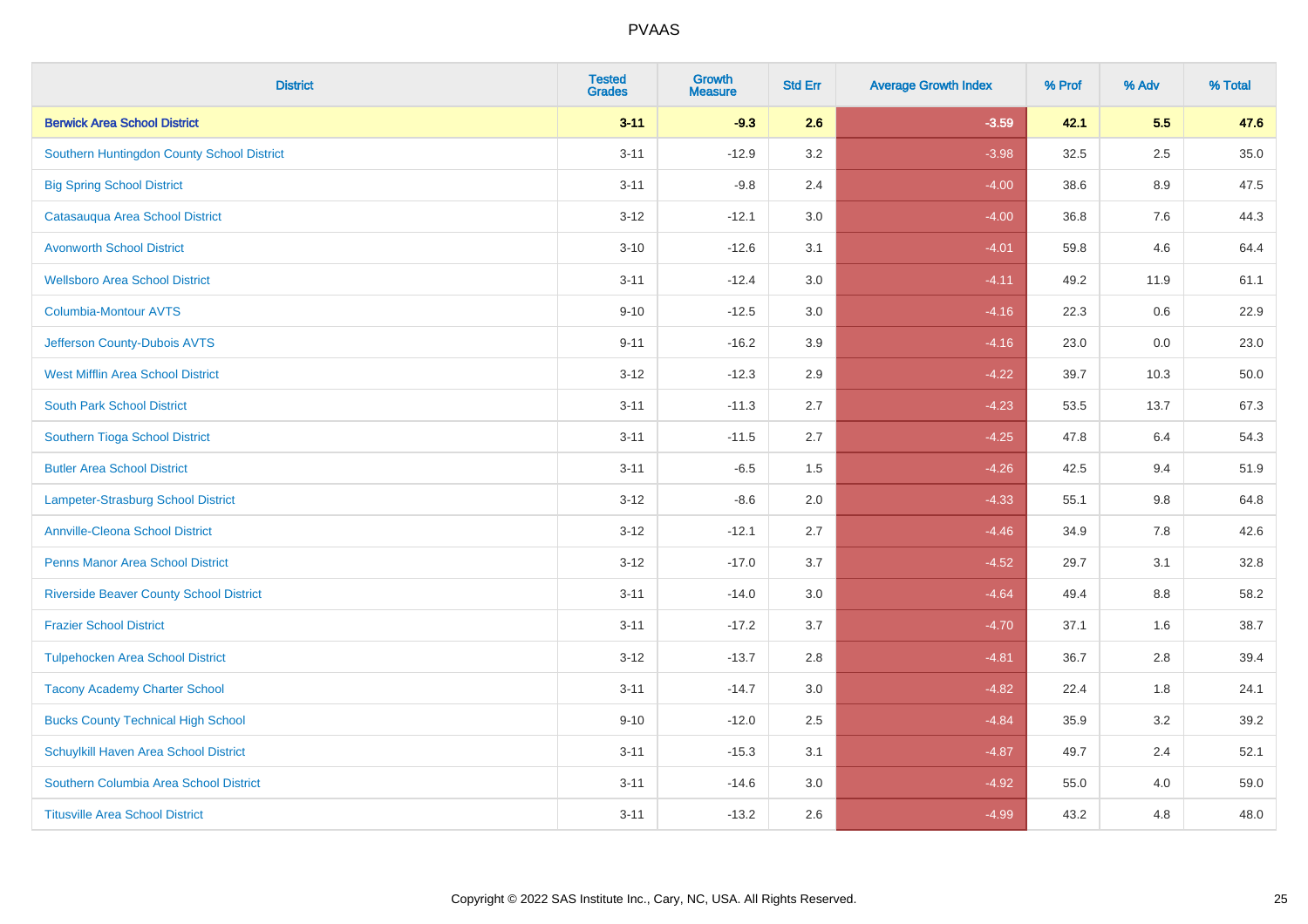| <b>District</b>                                | <b>Tested</b><br><b>Grades</b> | <b>Growth</b><br><b>Measure</b> | <b>Std Err</b> | <b>Average Growth Index</b> | % Prof | % Adv   | % Total |
|------------------------------------------------|--------------------------------|---------------------------------|----------------|-----------------------------|--------|---------|---------|
| <b>Berwick Area School District</b>            | $3 - 11$                       | $-9.3$                          | 2.6            | $-3.59$                     | 42.1   | 5.5     | 47.6    |
| Southern Huntingdon County School District     | $3 - 11$                       | $-12.9$                         | 3.2            | $-3.98$                     | 32.5   | 2.5     | 35.0    |
| <b>Big Spring School District</b>              | $3 - 11$                       | $-9.8$                          | 2.4            | $-4.00$                     | 38.6   | 8.9     | 47.5    |
| Catasauqua Area School District                | $3 - 12$                       | $-12.1$                         | 3.0            | $-4.00$                     | 36.8   | $7.6\,$ | 44.3    |
| <b>Avonworth School District</b>               | $3 - 10$                       | $-12.6$                         | 3.1            | $-4.01$                     | 59.8   | 4.6     | 64.4    |
| <b>Wellsboro Area School District</b>          | $3 - 11$                       | $-12.4$                         | 3.0            | $-4.11$                     | 49.2   | 11.9    | 61.1    |
| <b>Columbia-Montour AVTS</b>                   | $9 - 10$                       | $-12.5$                         | 3.0            | $-4.16$                     | 22.3   | 0.6     | 22.9    |
| Jefferson County-Dubois AVTS                   | $9 - 11$                       | $-16.2$                         | 3.9            | $-4.16$                     | 23.0   | 0.0     | 23.0    |
| <b>West Mifflin Area School District</b>       | $3 - 12$                       | $-12.3$                         | 2.9            | $-4.22$                     | 39.7   | 10.3    | 50.0    |
| <b>South Park School District</b>              | $3 - 11$                       | $-11.3$                         | 2.7            | $-4.23$                     | 53.5   | 13.7    | 67.3    |
| Southern Tioga School District                 | $3 - 11$                       | $-11.5$                         | 2.7            | $-4.25$                     | 47.8   | 6.4     | 54.3    |
| <b>Butler Area School District</b>             | $3 - 11$                       | $-6.5$                          | 1.5            | $-4.26$                     | 42.5   | 9.4     | 51.9    |
| <b>Lampeter-Strasburg School District</b>      | $3 - 12$                       | $-8.6$                          | 2.0            | $-4.33$                     | 55.1   | 9.8     | 64.8    |
| <b>Annville-Cleona School District</b>         | $3 - 12$                       | $-12.1$                         | 2.7            | $-4.46$                     | 34.9   | $7.8\,$ | 42.6    |
| <b>Penns Manor Area School District</b>        | $3 - 12$                       | $-17.0$                         | 3.7            | $-4.52$                     | 29.7   | 3.1     | 32.8    |
| <b>Riverside Beaver County School District</b> | $3 - 11$                       | $-14.0$                         | 3.0            | $-4.64$                     | 49.4   | 8.8     | 58.2    |
| <b>Frazier School District</b>                 | $3 - 11$                       | $-17.2$                         | 3.7            | $-4.70$                     | 37.1   | 1.6     | 38.7    |
| <b>Tulpehocken Area School District</b>        | $3 - 12$                       | $-13.7$                         | 2.8            | $-4.81$                     | 36.7   | 2.8     | 39.4    |
| <b>Tacony Academy Charter School</b>           | $3 - 11$                       | $-14.7$                         | 3.0            | $-4.82$                     | 22.4   | 1.8     | 24.1    |
| <b>Bucks County Technical High School</b>      | $9 - 10$                       | $-12.0$                         | 2.5            | $-4.84$                     | 35.9   | 3.2     | 39.2    |
| Schuylkill Haven Area School District          | $3 - 11$                       | $-15.3$                         | 3.1            | $-4.87$                     | 49.7   | 2.4     | 52.1    |
| Southern Columbia Area School District         | $3 - 11$                       | $-14.6$                         | 3.0            | $-4.92$                     | 55.0   | 4.0     | 59.0    |
| <b>Titusville Area School District</b>         | $3 - 11$                       | $-13.2$                         | 2.6            | $-4.99$                     | 43.2   | 4.8     | 48.0    |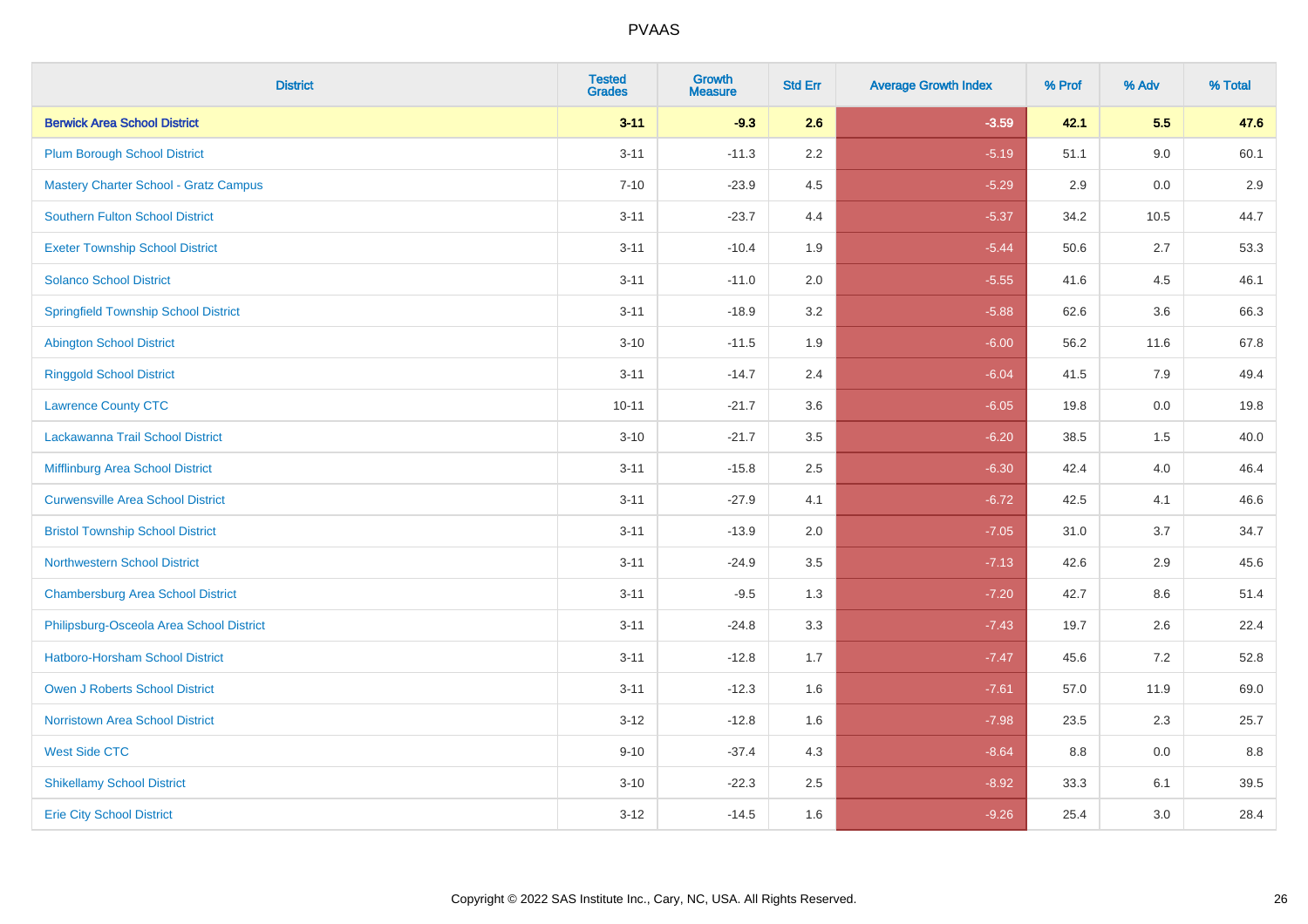| <b>District</b>                              | <b>Tested</b><br><b>Grades</b> | <b>Growth</b><br><b>Measure</b> | <b>Std Err</b> | <b>Average Growth Index</b> | % Prof | % Adv | % Total |
|----------------------------------------------|--------------------------------|---------------------------------|----------------|-----------------------------|--------|-------|---------|
| <b>Berwick Area School District</b>          | $3 - 11$                       | $-9.3$                          | 2.6            | $-3.59$                     | 42.1   | 5.5   | 47.6    |
| <b>Plum Borough School District</b>          | $3 - 11$                       | $-11.3$                         | 2.2            | $-5.19$                     | 51.1   | 9.0   | 60.1    |
| <b>Mastery Charter School - Gratz Campus</b> | $7 - 10$                       | $-23.9$                         | 4.5            | $-5.29$                     | 2.9    | 0.0   | 2.9     |
| <b>Southern Fulton School District</b>       | $3 - 11$                       | $-23.7$                         | 4.4            | $-5.37$                     | 34.2   | 10.5  | 44.7    |
| <b>Exeter Township School District</b>       | $3 - 11$                       | $-10.4$                         | 1.9            | $-5.44$                     | 50.6   | 2.7   | 53.3    |
| <b>Solanco School District</b>               | $3 - 11$                       | $-11.0$                         | 2.0            | $-5.55$                     | 41.6   | 4.5   | 46.1    |
| <b>Springfield Township School District</b>  | $3 - 11$                       | $-18.9$                         | 3.2            | $-5.88$                     | 62.6   | 3.6   | 66.3    |
| <b>Abington School District</b>              | $3 - 10$                       | $-11.5$                         | 1.9            | $-6.00$                     | 56.2   | 11.6  | 67.8    |
| <b>Ringgold School District</b>              | $3 - 11$                       | $-14.7$                         | 2.4            | $-6.04$                     | 41.5   | 7.9   | 49.4    |
| <b>Lawrence County CTC</b>                   | $10 - 11$                      | $-21.7$                         | 3.6            | $-6.05$                     | 19.8   | 0.0   | 19.8    |
| Lackawanna Trail School District             | $3 - 10$                       | $-21.7$                         | 3.5            | $-6.20$                     | 38.5   | 1.5   | 40.0    |
| Mifflinburg Area School District             | $3 - 11$                       | $-15.8$                         | 2.5            | $-6.30$                     | 42.4   | 4.0   | 46.4    |
| <b>Curwensville Area School District</b>     | $3 - 11$                       | $-27.9$                         | 4.1            | $-6.72$                     | 42.5   | 4.1   | 46.6    |
| <b>Bristol Township School District</b>      | $3 - 11$                       | $-13.9$                         | 2.0            | $-7.05$                     | 31.0   | 3.7   | 34.7    |
| <b>Northwestern School District</b>          | $3 - 11$                       | $-24.9$                         | 3.5            | $-7.13$                     | 42.6   | 2.9   | 45.6    |
| <b>Chambersburg Area School District</b>     | $3 - 11$                       | $-9.5$                          | 1.3            | $-7.20$                     | 42.7   | 8.6   | 51.4    |
| Philipsburg-Osceola Area School District     | $3 - 11$                       | $-24.8$                         | 3.3            | $-7.43$                     | 19.7   | 2.6   | 22.4    |
| Hatboro-Horsham School District              | $3 - 11$                       | $-12.8$                         | 1.7            | $-7.47$                     | 45.6   | 7.2   | 52.8    |
| <b>Owen J Roberts School District</b>        | $3 - 11$                       | $-12.3$                         | 1.6            | $-7.61$                     | 57.0   | 11.9  | 69.0    |
| Norristown Area School District              | $3-12$                         | $-12.8$                         | 1.6            | $-7.98$                     | 23.5   | 2.3   | 25.7    |
| <b>West Side CTC</b>                         | $9 - 10$                       | $-37.4$                         | 4.3            | $-8.64$                     | 8.8    | 0.0   | 8.8     |
| <b>Shikellamy School District</b>            | $3 - 10$                       | $-22.3$                         | 2.5            | $-8.92$                     | 33.3   | 6.1   | 39.5    |
| <b>Erie City School District</b>             | $3-12$                         | $-14.5$                         | 1.6            | $-9.26$                     | 25.4   | 3.0   | 28.4    |